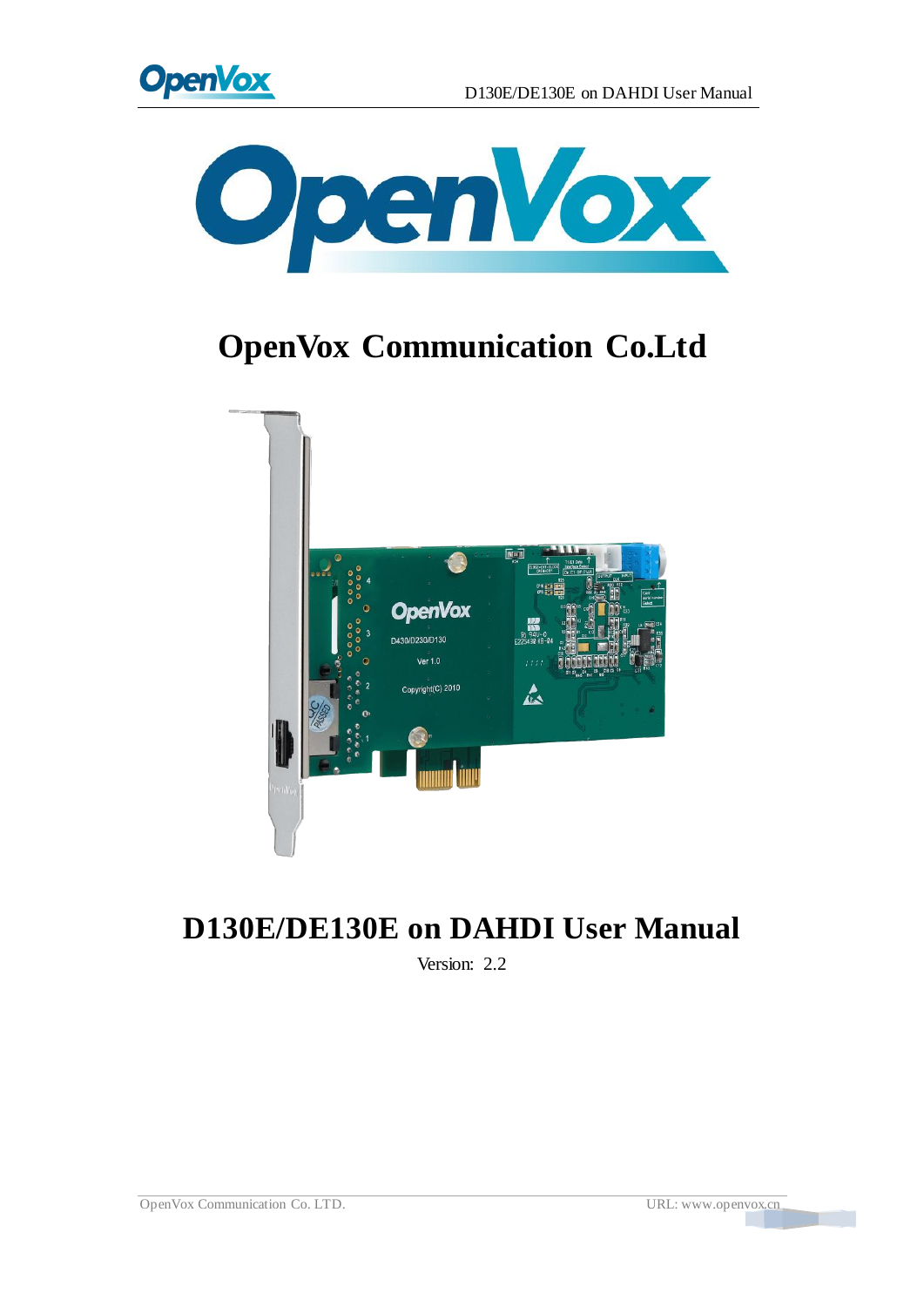



# **OpenVox Communication Co.Ltd**



# **D130E/DE130E on DAHDI User Manual**

Version: 2.2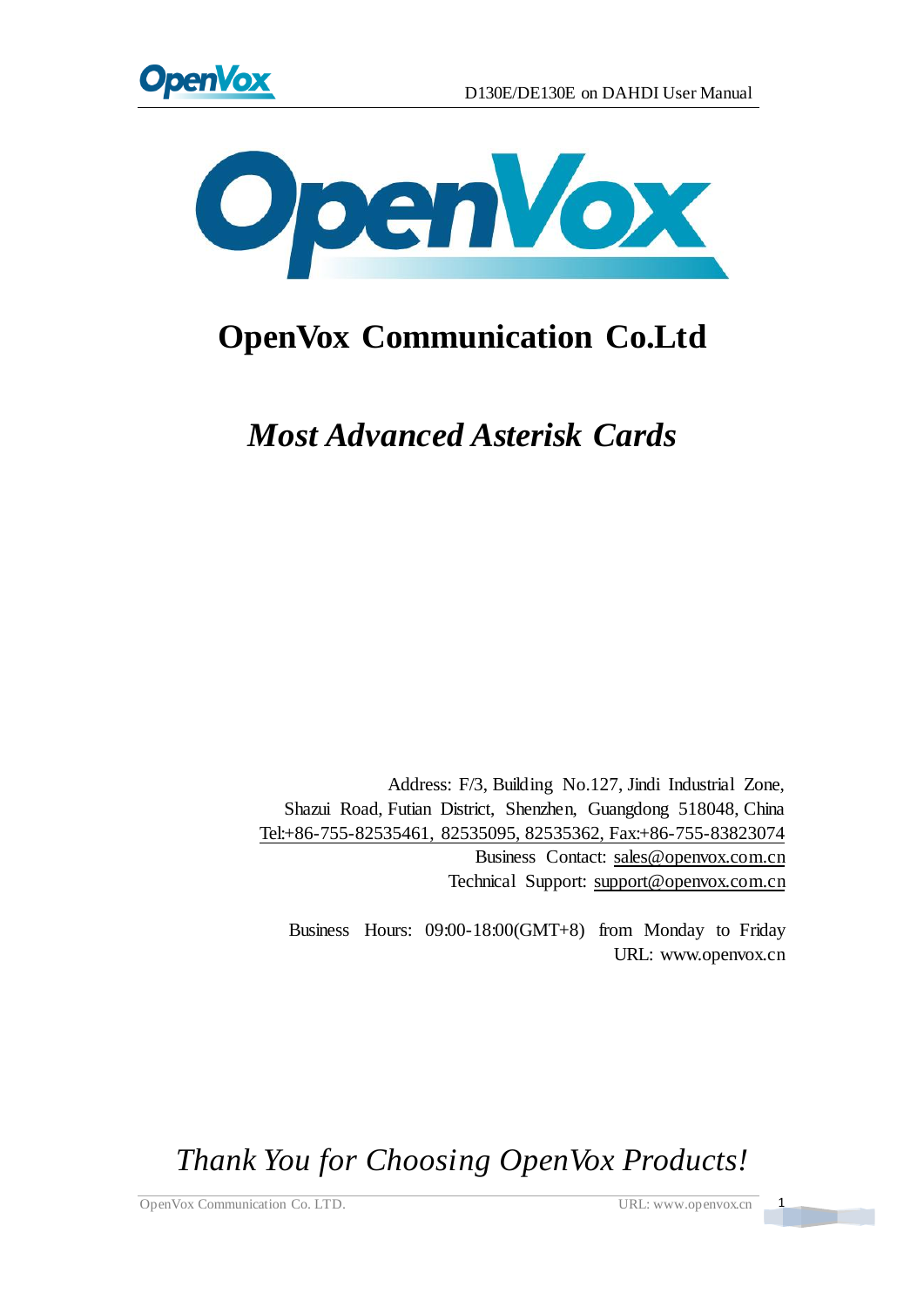



# **OpenVox Communication Co.Ltd**

*Most Advanced Asterisk Cards*

Address: F/3, Building No.127, Jindi Industrial Zone, Shazui Road, Futian District, Shenzhen, Guangdong 518048, China Tel:+86-755-82535461, 82535095, 82535362, Fax:+86-755-83823074 Business Contact: sales@openvox.com.cn Technical Support[: support@openvox.com.cn](mailto:support@openvox.com.cn)

Business Hours: 09:00-18:00(GMT+8) from Monday to Friday URL: www.openvox.cn

*Thank You for Choosing OpenVox Products!*

OpenVox Communication Co. LTD. URL: www.openvox.cn 1

 $\frac{1}{2}$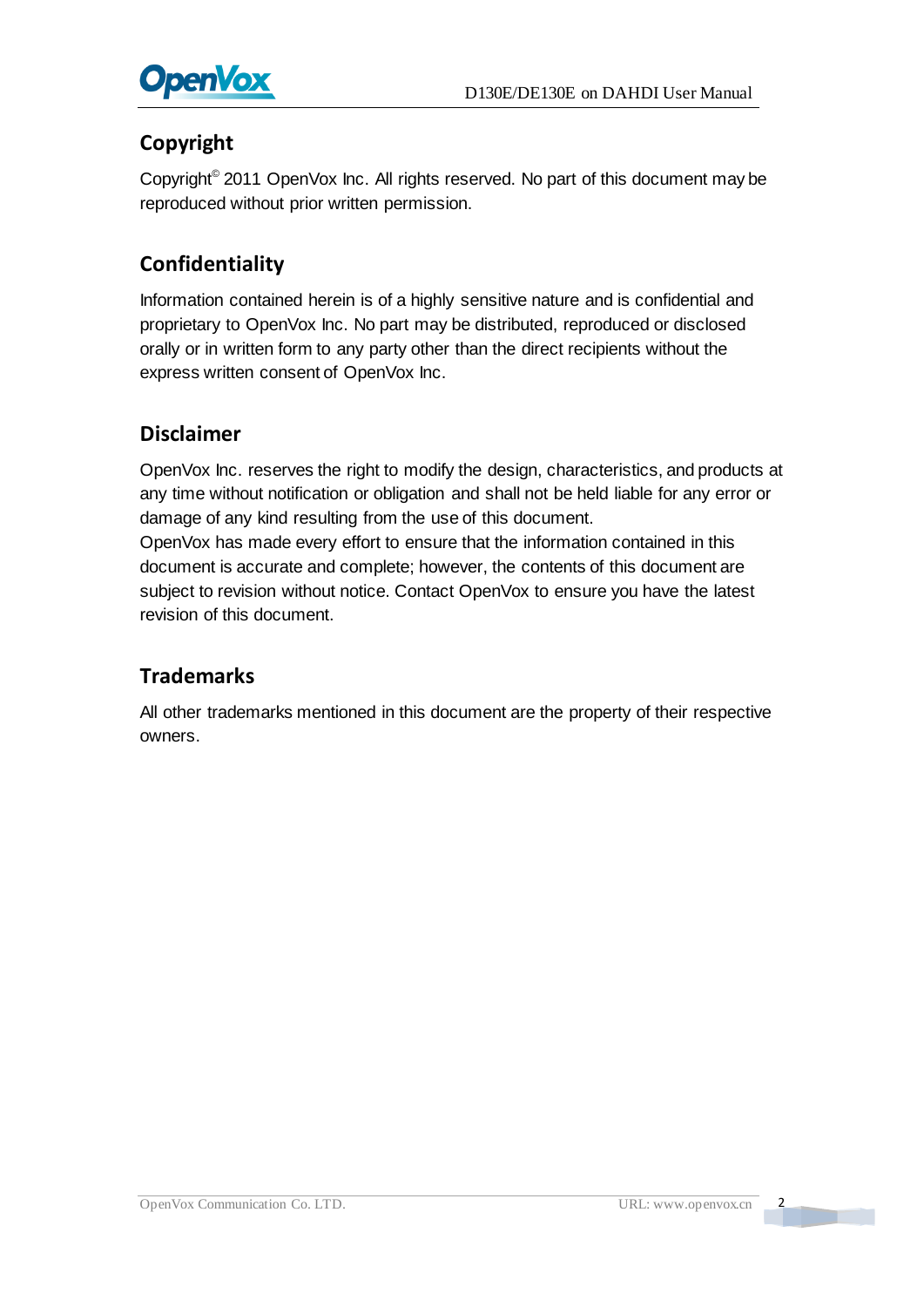

#### **Copyright**

Copyright© 2011 OpenVox Inc. All rights reserved. No part of this document may be reproduced without prior written permission.

#### **Confidentiality**

Information contained herein is of a highly sensitive nature and is confidential and proprietary to OpenVox Inc. No part may be distributed, reproduced or disclosed orally or in written form to any party other than the direct recipients without the express written consent of OpenVox Inc.

#### **Disclaimer**

OpenVox Inc. reserves the right to modify the design, characteristics, and products at any time without notification or obligation and shall not be held liable for any error or damage of any kind resulting from the use of this document.

OpenVox has made every effort to ensure that the information contained in this document is accurate and complete; however, the contents of this document are subject to revision without notice. Contact OpenVox to ensure you have the latest revision of this document.

#### **Trademarks**

All other trademarks mentioned in this document are the property of their respective owners.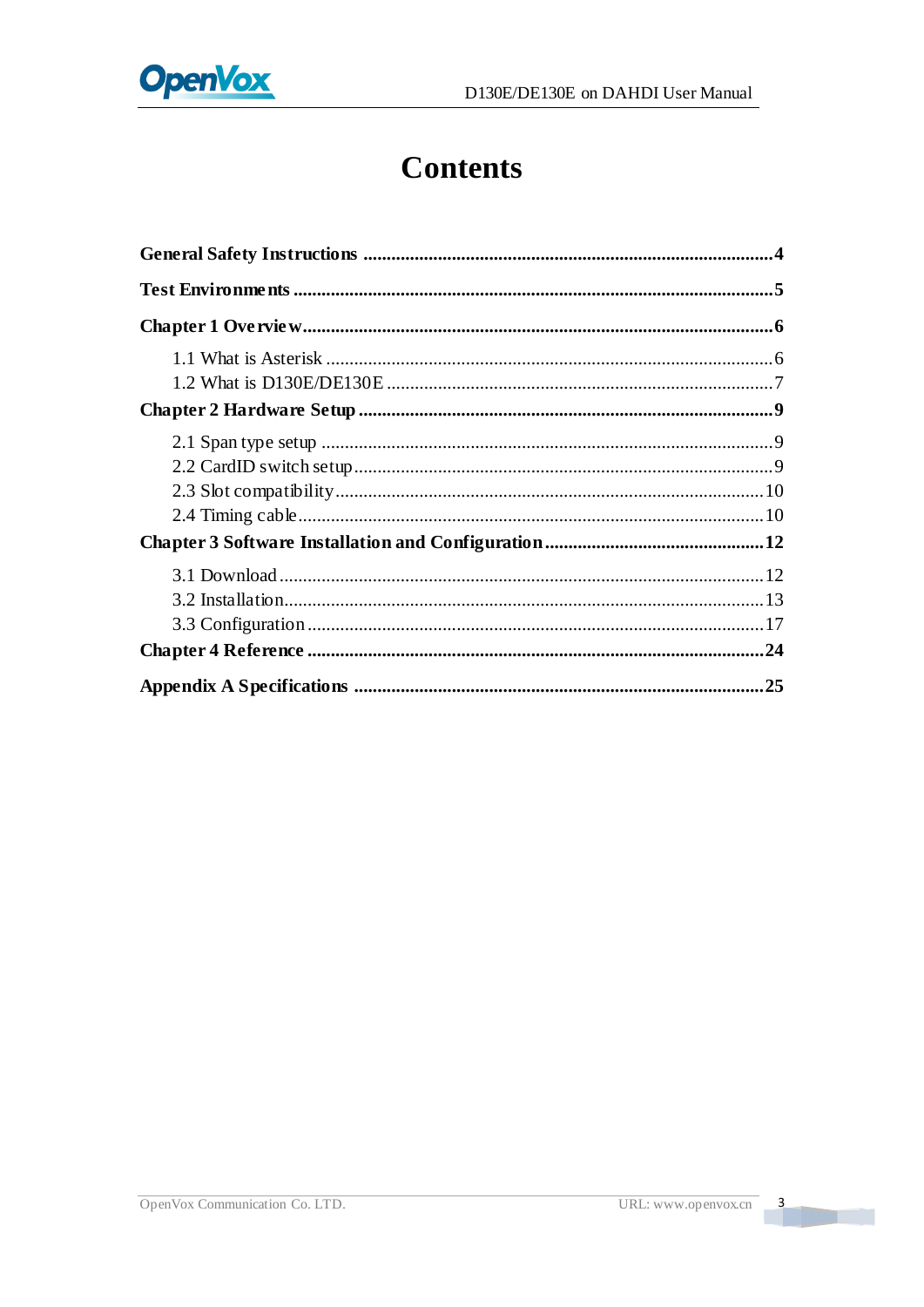

# **Contents**

 $\overline{\phantom{a}}$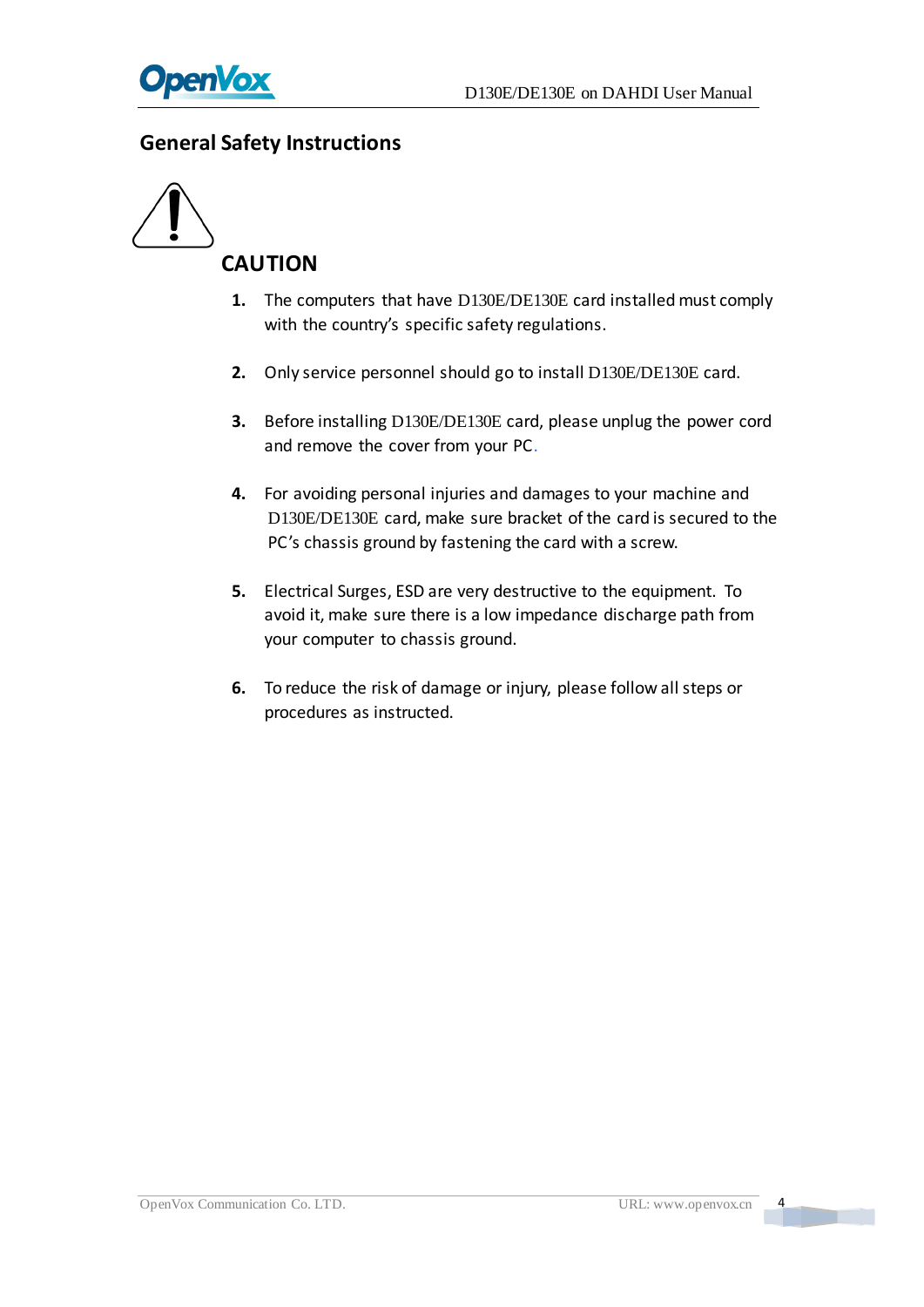

#### <span id="page-4-0"></span>**General Safety Instructions**



- **1.** The computers that have D130E/DE130E card installed must comply with the country's specific safety regulations.
- **2.** Only service personnel should go to install D130E/DE130E card.
- **3.** Before installing D130E/DE130E card, please unplug the power cord and remove the cover from your PC.
- **4.** For avoiding personal injuries and damages to your machine and D130E/DE130E card, make sure bracket of the card is secured to the PC's chassis ground by fastening the card with a screw.
- **5.** Electrical Surges, ESD are very destructive to the equipment. To avoid it, make sure there is a low impedance discharge path from your computer to chassis ground.
- <span id="page-4-1"></span>**6.** To reduce the risk of damage or injury, please follow all steps or procedures as instructed.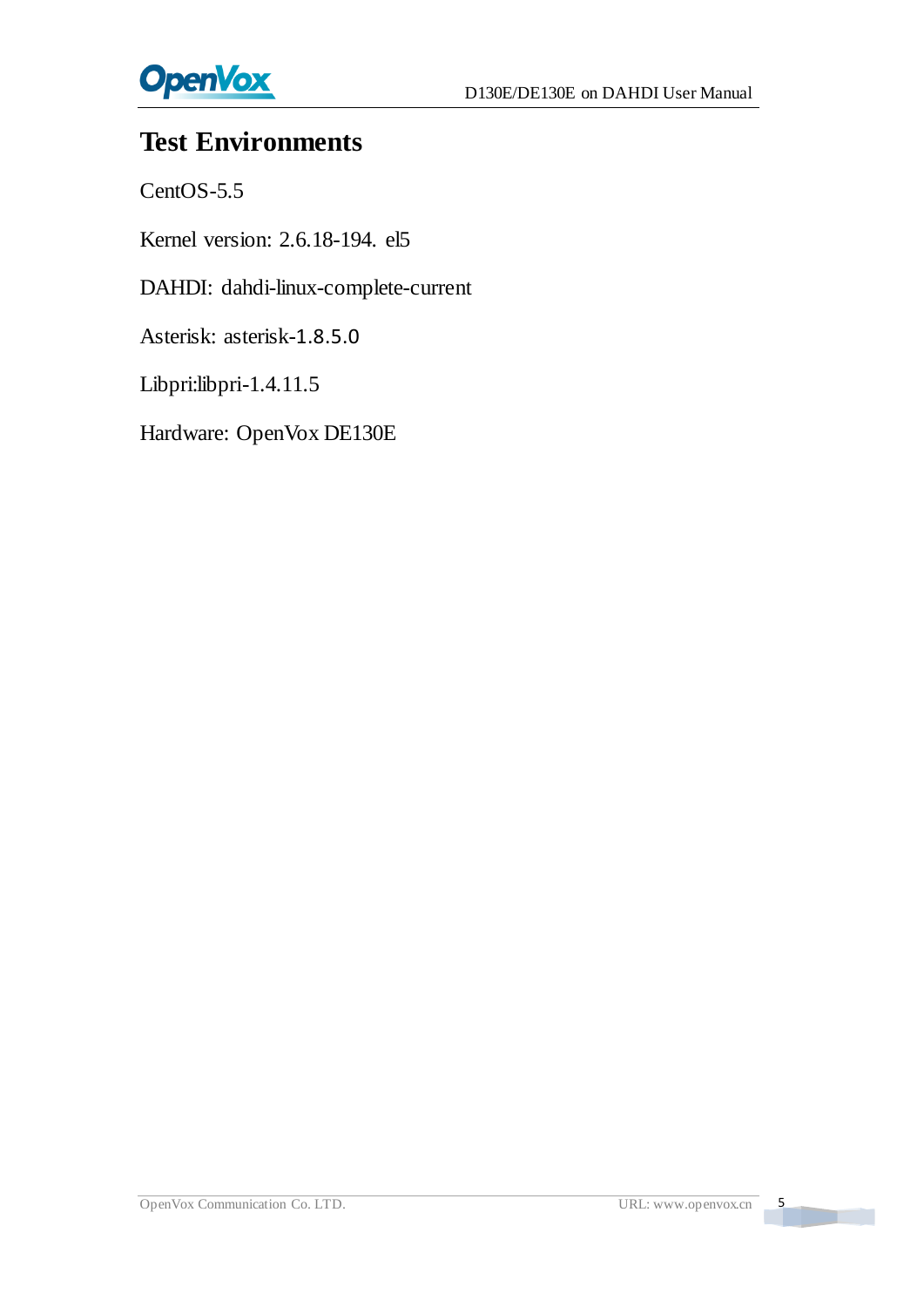

# **Test Environments**

CentOS-5.5

Kernel version: 2.6.18-194. el5

DAHDI: dahdi-linux-complete-current

Asterisk: asterisk-1.8.5.0

Libpri:libpri-1.4.11.5

Hardware: OpenVox DE130E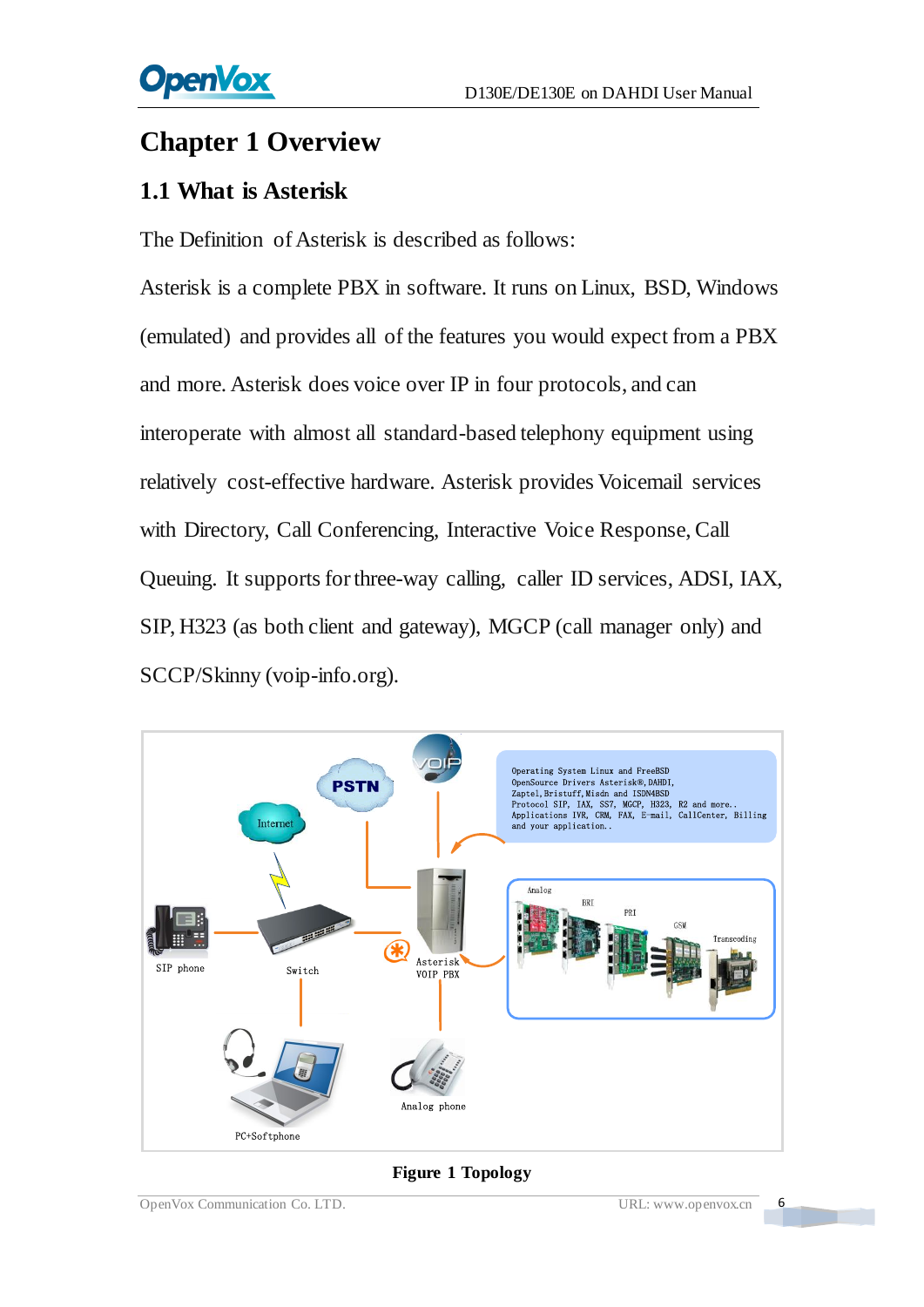# <span id="page-6-0"></span>**Chapter 1 Overview**

### <span id="page-6-1"></span>**1.1 What is Asterisk**

The Definition of Asterisk is described as follows:

Asterisk is a complete PBX in software. It runs on Linux, BSD, Windows (emulated) and provides all of the features you would expect from a PBX and more. Asterisk does voice over IP in four protocols, and can interoperate with almost all standard-based telephony equipment using relatively cost-effective hardware. Asterisk provides Voicemail services with Directory, Call Conferencing, Interactive Voice Response, Call Queuing. It supports for three-way calling, caller ID services, ADSI, IAX, SIP, H323 (as both client and gateway), MGCP (call manager only) and SCCP/Skinny (voip-info.org).



#### **Figure 1 Topology**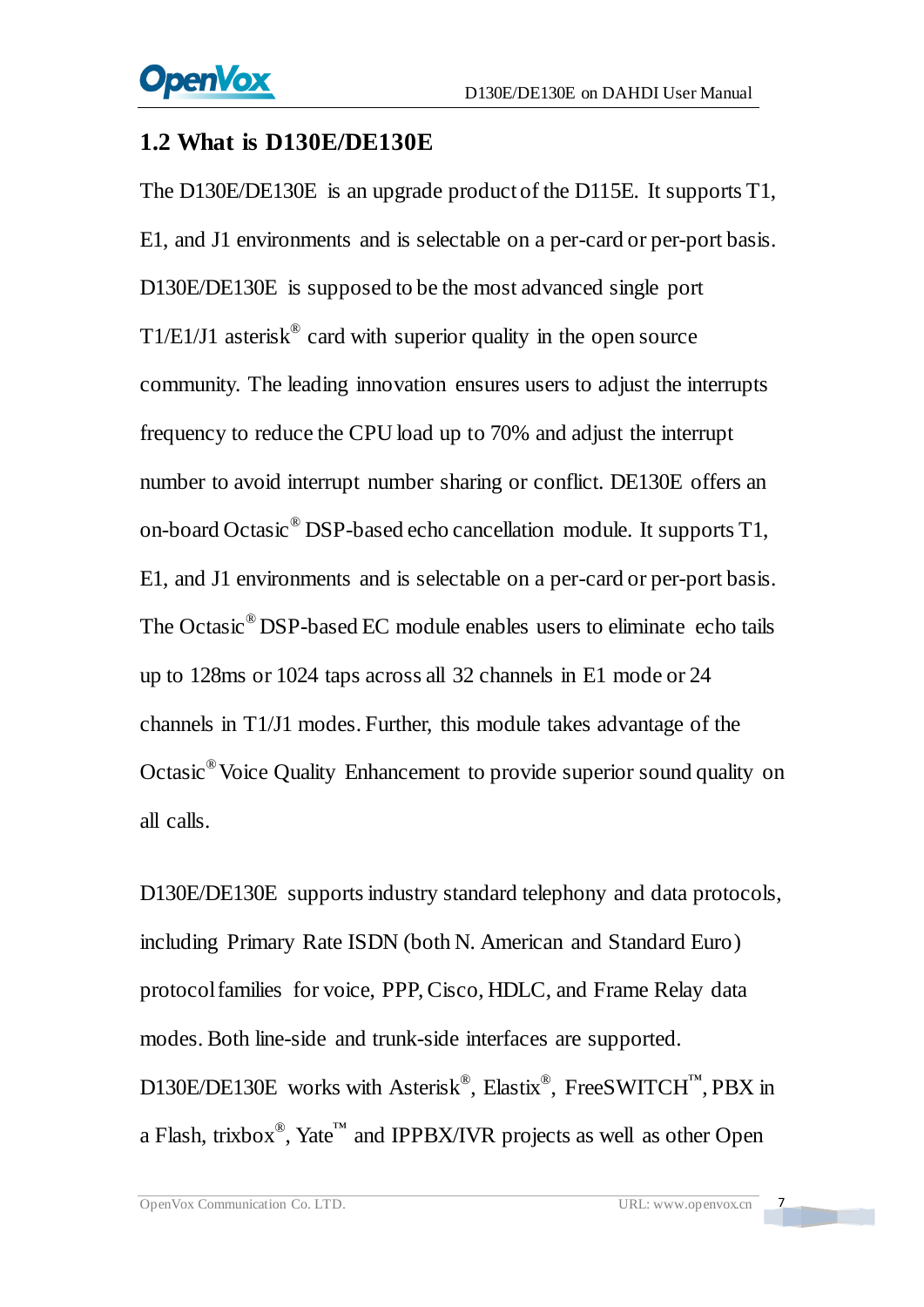#### <span id="page-7-0"></span>**1.2 What is D130E/DE130E**

The D130E/DE130E is an upgrade product of the D115E. It supports T1, E1, and J1 environments and is selectable on a per-card or per-port basis. D130E/DE130E is supposed to be the most advanced single port  $T1/E1/J1$  asterisk<sup>®</sup> card with superior quality in the open source community. The leading innovation ensures users to adjust the interrupts frequency to reduce the CPU load up to 70% and adjust the interrupt number to avoid interrupt number sharing or conflict. DE130E offers an on-board Octasic® DSP-based echo cancellation module. It supports T1, E1, and J1 environments and is selectable on a per-card or per-port basis. The Octasic® DSP-based EC module enables users to eliminate echo tails up to 128ms or 1024 taps across all 32 channels in E1 mode or 24 channels in T1/J1 modes. Further, this module takes advantage of the Octasic® Voice Quality Enhancement to provide superior sound quality on all calls.

D130E/DE130E supports industry standard telephony and data protocols, including Primary Rate ISDN (both N. American and Standard Euro) protocol families for voice, PPP, Cisco, HDLC, and Frame Relay data modes. Both line-side and trunk-side interfaces are supported. D130E/DE130E works with Asterisk<sup>®</sup>, Elastix<sup>®</sup>, FreeSWITCH<sup>™</sup>, PBX in a Flash, trixbox<sup>®</sup>, Yate<sup>™</sup> and IPPBX/IVR projects as well as other Open

 $\overline{z}$ 

a barat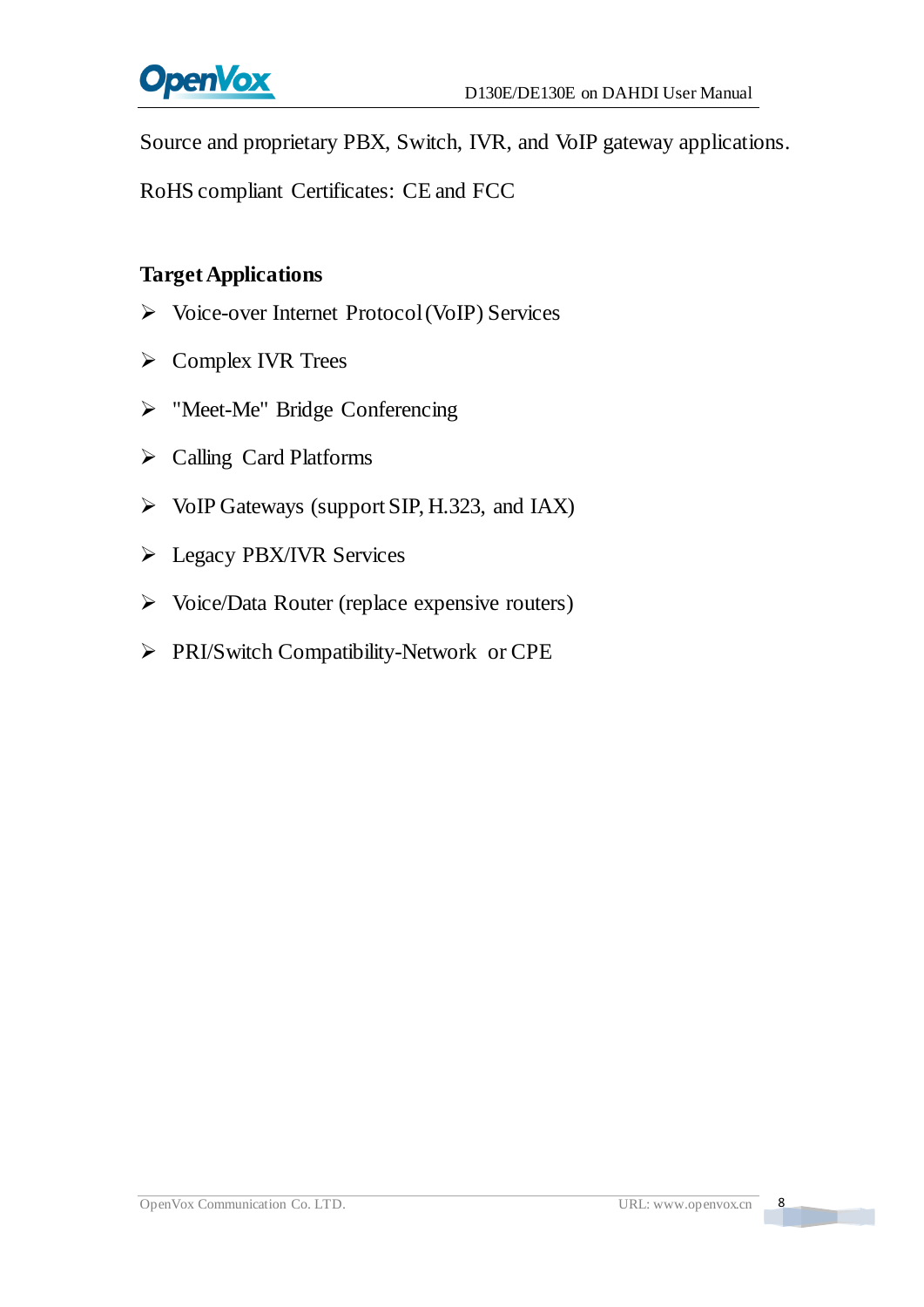

Source and proprietary PBX, Switch, IVR, and VoIP gateway applications.

RoHS compliant Certificates: CE and FCC

#### **Target Applications**

- Voice-over Internet Protocol(VoIP) Services
- $\triangleright$  Complex IVR Trees
- > "Meet-Me" Bridge Conferencing
- Calling Card Platforms
- $\triangleright$  VoIP Gateways (support SIP, H.323, and IAX)
- **E** Legacy PBX/IVR Services
- $\triangleright$  Voice/Data Router (replace expensive routers)
- PRI/Switch Compatibility-Network or CPE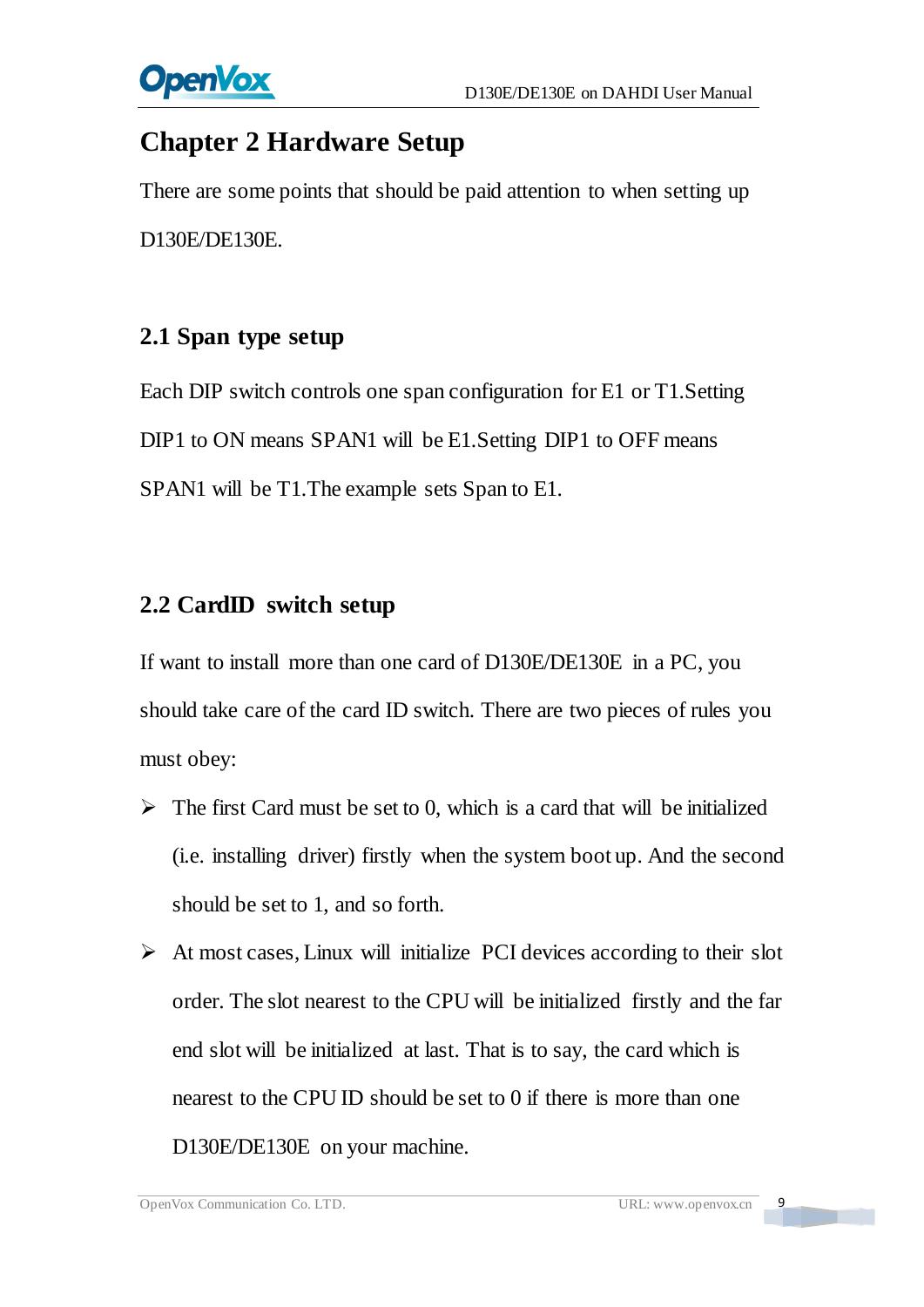

# <span id="page-9-0"></span>**Chapter 2 Hardware Setup**

There are some points that should be paid attention to when setting up D130E/DE130E.

### <span id="page-9-1"></span>**2.1 Span type setup**

Each DIP switch controls one span configuration for E1 or T1.Setting DIP1 to ON means SPAN1 will be E1. Setting DIP1 to OFF means SPAN1 will be T1.The example sets Span to E1.

### <span id="page-9-2"></span>**2.2 CardID switch setup**

If want to install more than one card of D130E/DE130E in a PC, you should take care of the card ID switch. There are two pieces of rules you must obey:

- $\triangleright$  The first Card must be set to 0, which is a card that will be initialized (i.e. installing driver) firstly when the system boot up. And the second should be set to 1, and so forth.
- $\triangleright$  At most cases, Linux will initialize PCI devices according to their slot order. The slot nearest to the CPU will be initialized firstly and the far end slot will be initialized at last. That is to say, the card which is nearest to the CPU ID should be set to 0 if there is more than one D130E/DE130E on your machine.

 $\overline{9}$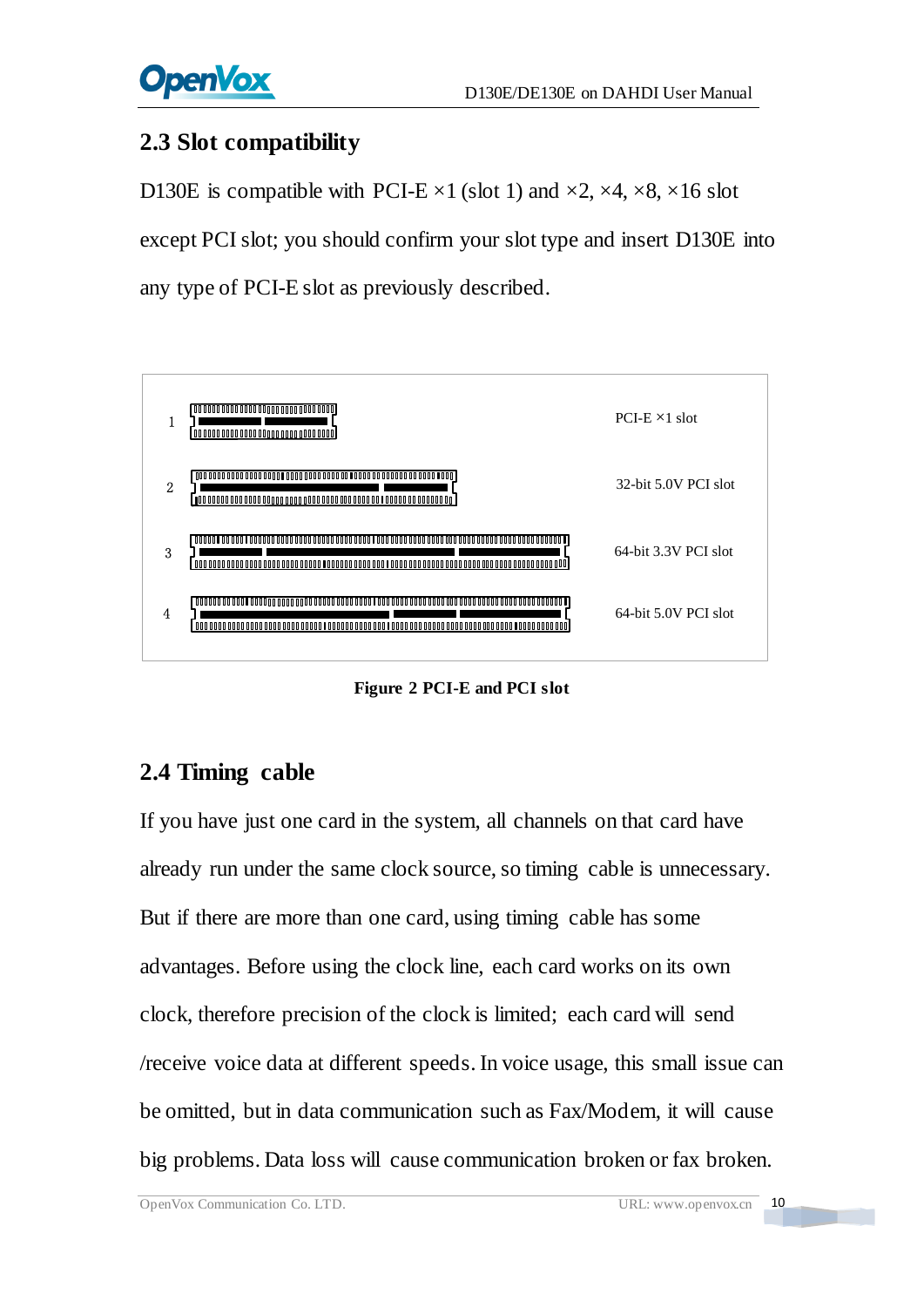

### <span id="page-10-0"></span>**2.3 Slot compatibility**

D130E is compatible with PCI-E  $\times$ 1 (slot 1) and  $\times$ 2,  $\times$ 4,  $\times$ 8,  $\times$ 16 slot except PCI slot; you should confirm your slot type and insert D130E into any type of PCI-E slot as previously described.



**Figure 2 PCI-E and PCI slot**

# <span id="page-10-1"></span>**2.4 Timing cable**

If you have just one card in the system, all channels on that card have already run under the same clock source, so timing cable is unnecessary. But if there are more than one card, using timing cable has some advantages. Before using the clock line, each card works on its own clock, therefore precision of the clock is limited; each card will send /receive voice data at different speeds. In voice usage, this small issue can be omitted, but in data communication such as Fax/Modem, it will cause big problems. Data loss will cause communication broken or fax broken.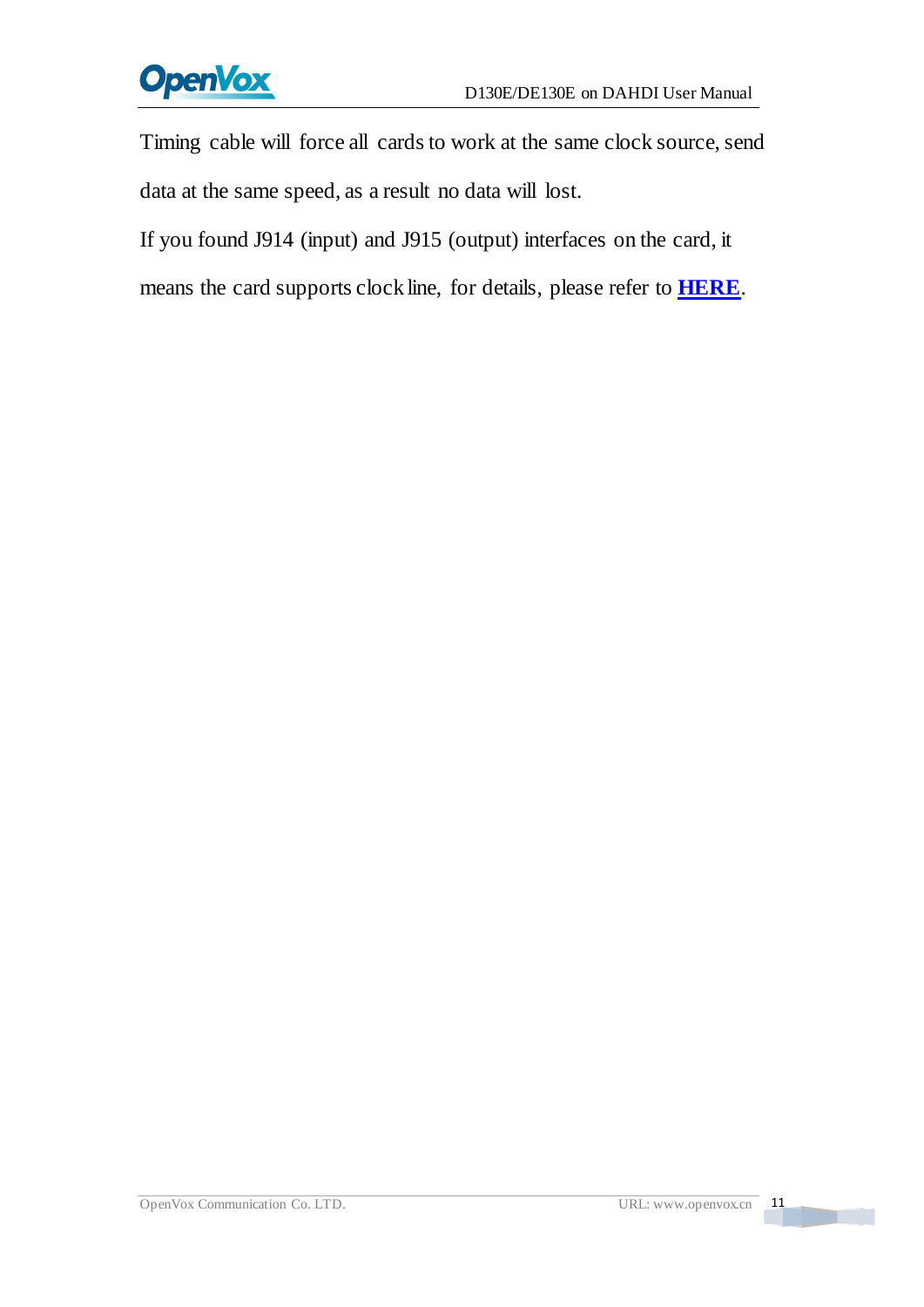

Timing cable will force all cards to work at the same clock source, send data at the same speed, as a result no data will lost.

If you found J914 (input) and J915 (output) interfaces on the card, it

means the card supports clock line, for details, please refer to **[HERE](http://bbs.openvox.cn/viewthread.php?tid=874&extra=page%3D1)**.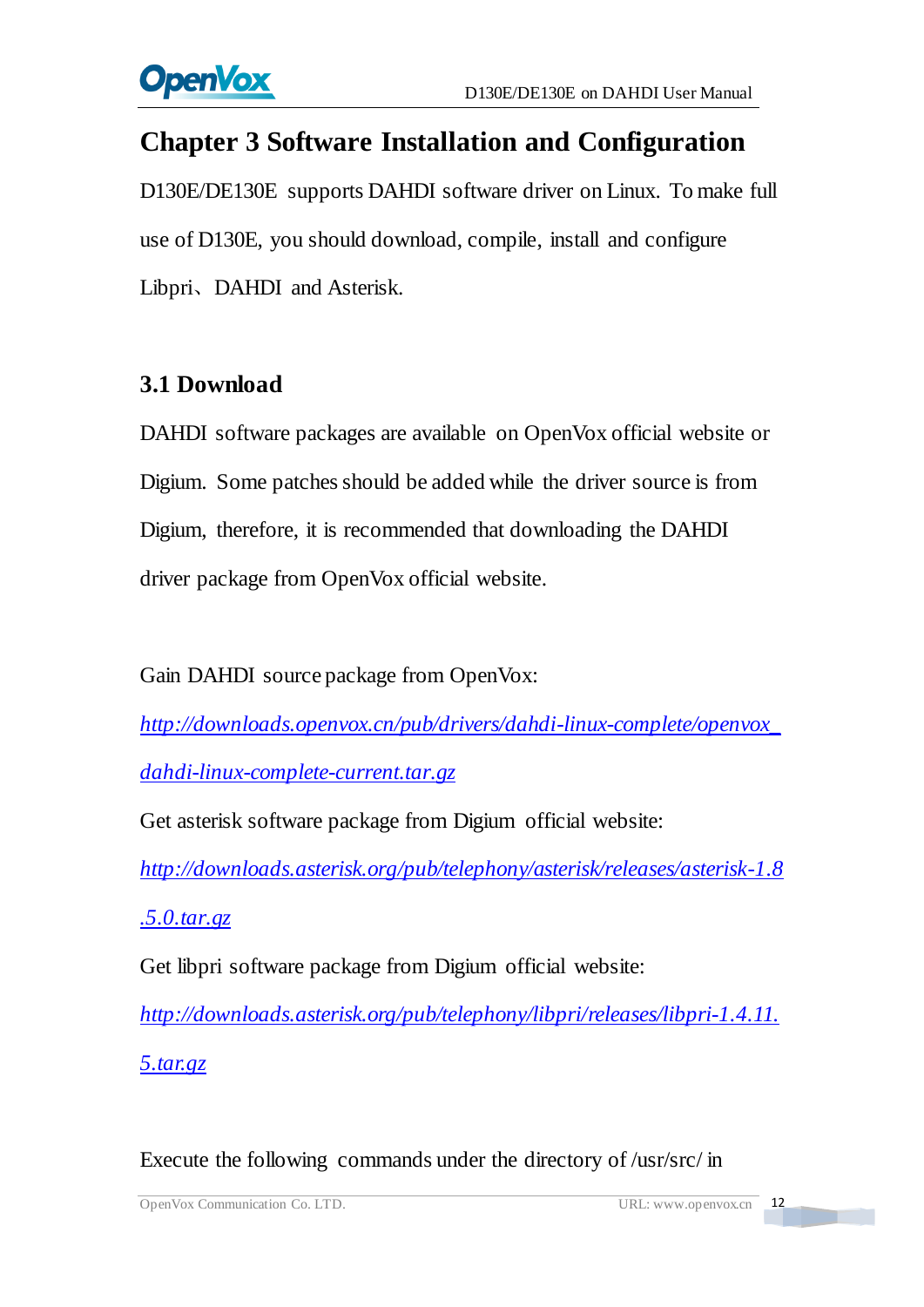

# <span id="page-12-0"></span>**Chapter 3 Software Installation and Configuration**

D130E/DE130E supports DAHDI software driver on Linux. To make full use of D130E, you should download, compile, install and configure Libpri、DAHDI and Asterisk.

### <span id="page-12-1"></span>**3.1 Download**

DAHDI software packages are available on OpenVox official website or Digium. Some patches should be added while the driver source is from Digium, therefore, it is recommended that downloading the DAHDI driver package from OpenVox official website.

Gain DAHDI source package from OpenVox:

*[http://downloads.openvox.cn/pub/drivers/dahdi-linux-complete/openvox\\_](http://downloads.openvox.cn/pub/drivers/dahdi-linux-complete/openvox_dahdi-linux-complete-current.tar.gz) [dahdi-linux-complete-current.tar.gz](http://downloads.openvox.cn/pub/drivers/dahdi-linux-complete/openvox_dahdi-linux-complete-current.tar.gz)*

Get asterisk software package from Digium official website:

*[http://downloads.asterisk.org/pub/telephony/asterisk/releases/asterisk-1.8](http://downloads.asterisk.org/pub/telephony/asterisk/releases/asterisk-1.8.5.0.tar.gz)*

*[.5.0.tar.gz](http://downloads.asterisk.org/pub/telephony/asterisk/releases/asterisk-1.8.5.0.tar.gz)*

Get libpri software package from Digium official website:

*[http://downloads.asterisk.org/pub/telephony/libpri/releases/libpri-1.4.11.](http://downloads.asterisk.org/pub/telephony/libpri/releases/libpri-1.4.11.5.tar.gz) [5.tar.gz](http://downloads.asterisk.org/pub/telephony/libpri/releases/libpri-1.4.11.5.tar.gz)*

Execute the following commands under the directory of /usr/src/ in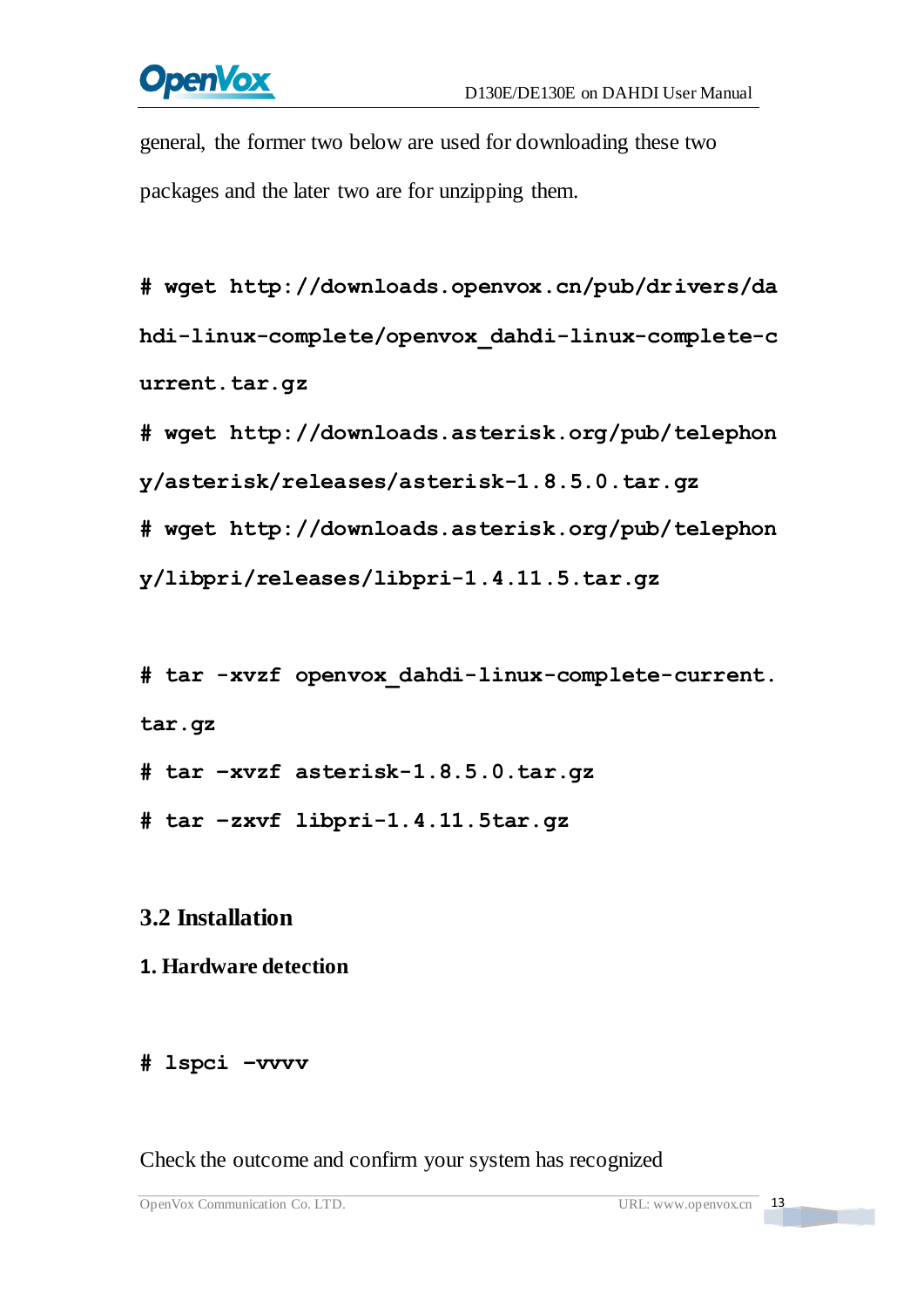# **OpenVox**

general, the former two below are used for downloading these two packages and the later two are for unzipping them.

**#\_wget[\\_http://downloads.openvox.cn/pub/drivers/da](http://downloads.openvox.cn/pub/drivers/dahdi-linux-complete/openvox_dahdi-linux-complete-current.tar.gz) [hdi-linux-complete/openvox\\_dahdi-linux-complete-c](http://downloads.openvox.cn/pub/drivers/dahdi-linux-complete/openvox_dahdi-linux-complete-current.tar.gz) [urrent.tar.gz](http://downloads.openvox.cn/pub/drivers/dahdi-linux-complete/openvox_dahdi-linux-complete-current.tar.gz)**

**#\_wget[\\_http://downloads.asterisk.org/pub/telephon](http://downloads.asterisk.org/pub/telephony/asterisk/releases/) [y/asterisk/releases/a](http://downloads.asterisk.org/pub/telephony/asterisk/releases/)sterisk-1.8.5.0.tar.gz**

**#\_wget[\\_http://downloads.asterisk.org/pub/telephon](http://downloads.asterisk.org/pub/telephony/libpri/releases/libpri-1.4.11.5.tar.gz)**

**[y/libpri/releases/libpri-1.4.11.5.tar.gzt](http://downloads.asterisk.org/pub/telephony/libpri/releases/libpri-1.4.11.5.tar.gz)ibpri-1.**

**#\_tar\_-xvzf\_openvox\_dahdi-linux-complete-current. tar.gz**

**# tar –xvzf asterisk-1.8.5.0.tar.gz**

**# tar –zxvf libpri-1.4.11.5tar.gz**

# <span id="page-13-0"></span>**3.2 Installation**

#### **1. Hardware detection**

#### **# lspci –vvvv**

Check the outcome and confirm your system has recognized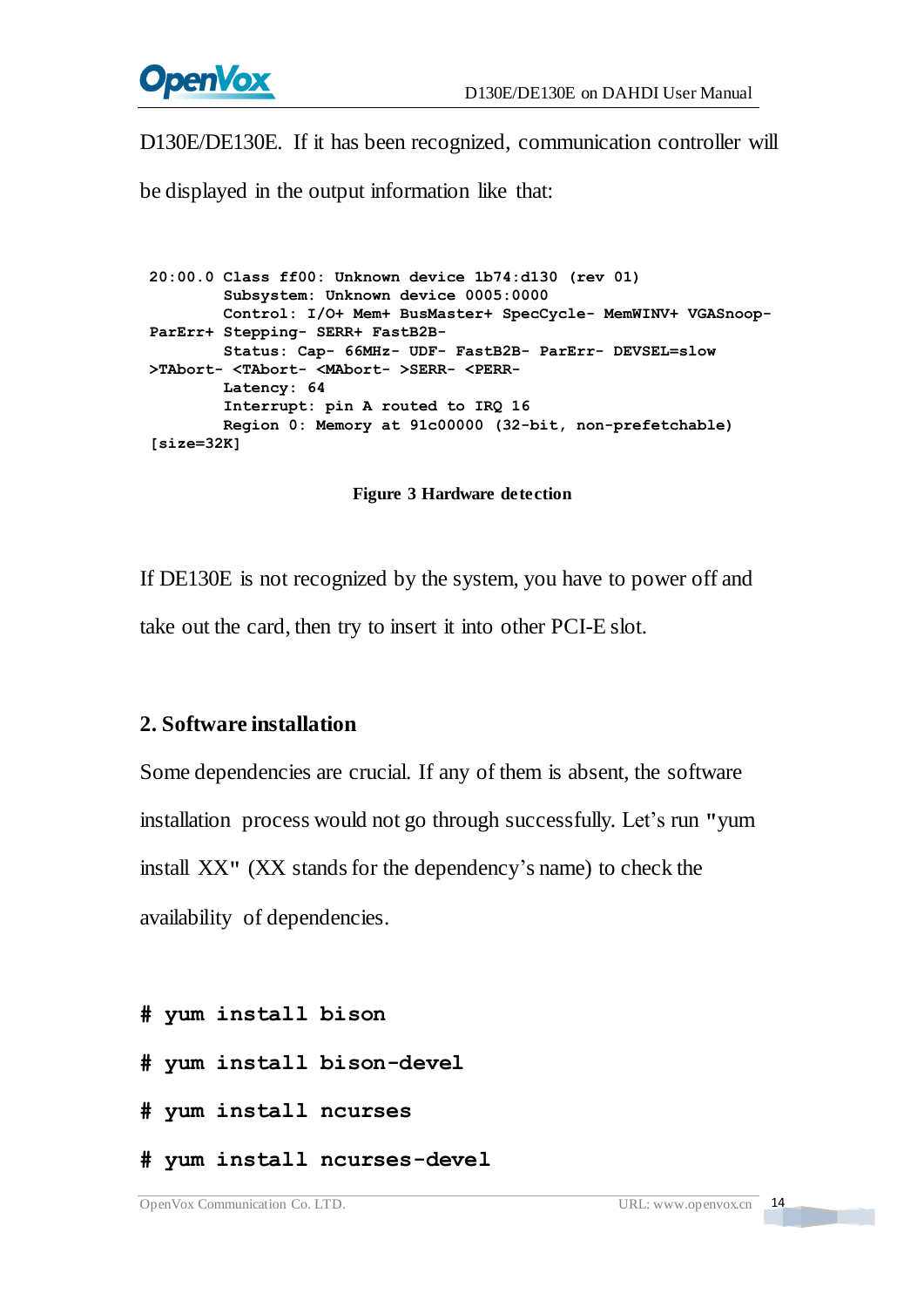

D130E/DE130E. If it has been recognized, communication controller will

be displayed in the output information like that:

```
20:00.0 Class ff00: Unknown device 1b74:d130 (rev 01) Subsystem: Unknown device 0005:0000 Control: I/O+ Mem+ BusMaster+ SpecCycle- MemWINV+ VGASnoop- ParErr+ Stepping- SERR+ FastB2B- Status: Cap- 66MHz- UDF- FastB2B- ParErr- DEVSEL=slow >TAbort- <TAbort- <MAbort- >SERR- <PERR- Latency: 64 Interrupt: pin A routed to IRQ 16 Region 0: Memory at 91c00000 (32-bit, non-prefetchable)
[size=32K]
```
#### **Figure 3 Hardware detection**

If DE130E is not recognized by the system, you have to power off and take out the card, then try to insert it into other PCI-E slot.

#### **2. Software installation**

Some dependencies are crucial. If any of them is absent, the software installation process would not go through successfully. Let's run **"**yum install XX**"** (XX stands for the dependency's name) to check the availability of dependencies.

- **# yum install bison**
- **# yum install bison-devel**
- **# yum install ncurses**
- **# yum install ncurses-devel**

14

<u> Tanzania de la pro</u>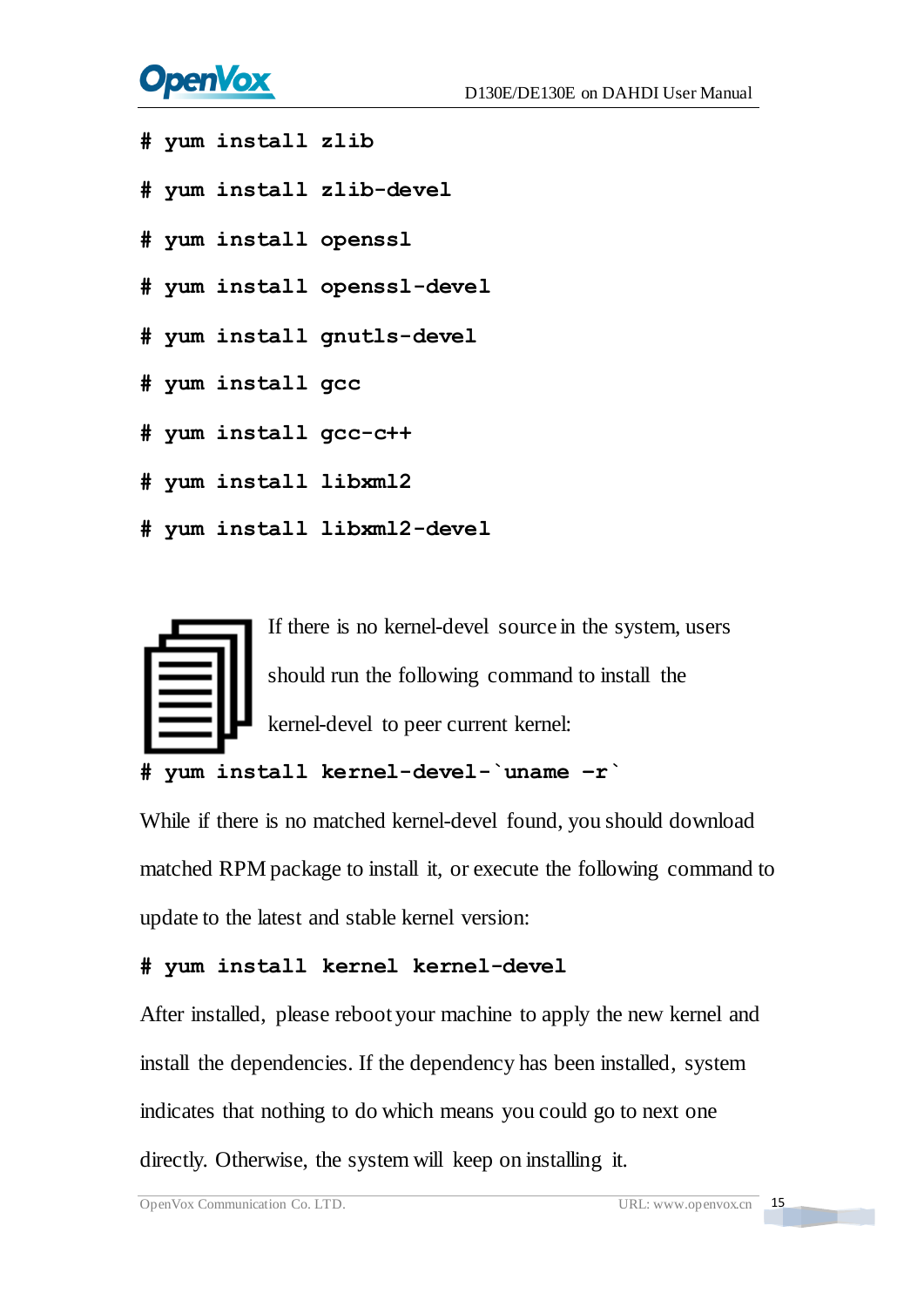# **OpenVox**

- **# yum install zlib**
- **# yum install zlib-devel**
- **# yum install openssl**
- **# yum install openssl-devel**
- **# yum install gnutls-devel**
- **# yum install gcc**
- **# yum install gcc-c++**
- **# yum install libxml2**
- **# yum install libxml2-devel**



```
# yum install kernel-devel-`uname –r`
```
While if there is no matched kernel-devel found, you should download matched RPM package to install it, or execute the following command to update to the latest and stable kernel version:

#### **# yum install kernel kernel-devel**

After installed, please reboot your machine to apply the new kernel and install the dependencies. If the dependency has been installed, system indicates that nothing to do which means you could go to next one directly. Otherwise, the system will keep on installing it.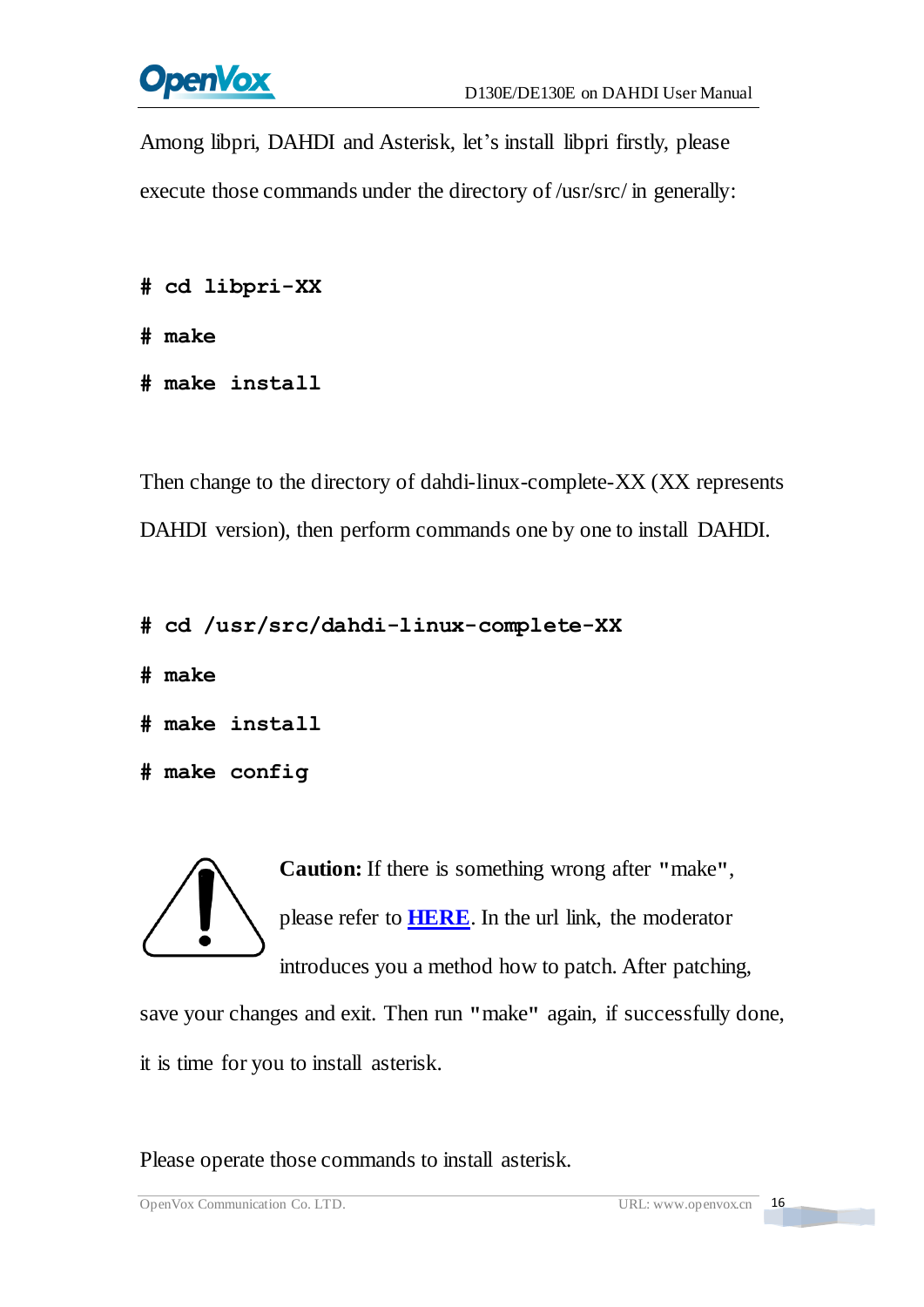

Among libpri, DAHDI and Asterisk, let's install libpri firstly, please execute those commands under the directory of /usr/src/ in generally:

```
# cd libpri-XX
```
**# make**

**# make install** 

Then change to the directory of dahdi-linux-complete-XX (XX represents DAHDI version), then perform commands one by one to install DAHDI.

```
# cd /usr/src/dahdi-linux-complete-XX
```
**# make**

```
# make install
```

```
# make config
```
**Caution:** If there is something wrong after **"**make**"**, please refer to **[HERE](http://bbs.openvox.cn/viewthread.php?tid=1557&extra=page%3D1)**. In the url link, the moderator introduces you a method how to patch. After patching,

save your changes and exit. Then run **"**make**"** again, if successfully done, it is time for you to install asterisk.

Please operate those commands to install asterisk.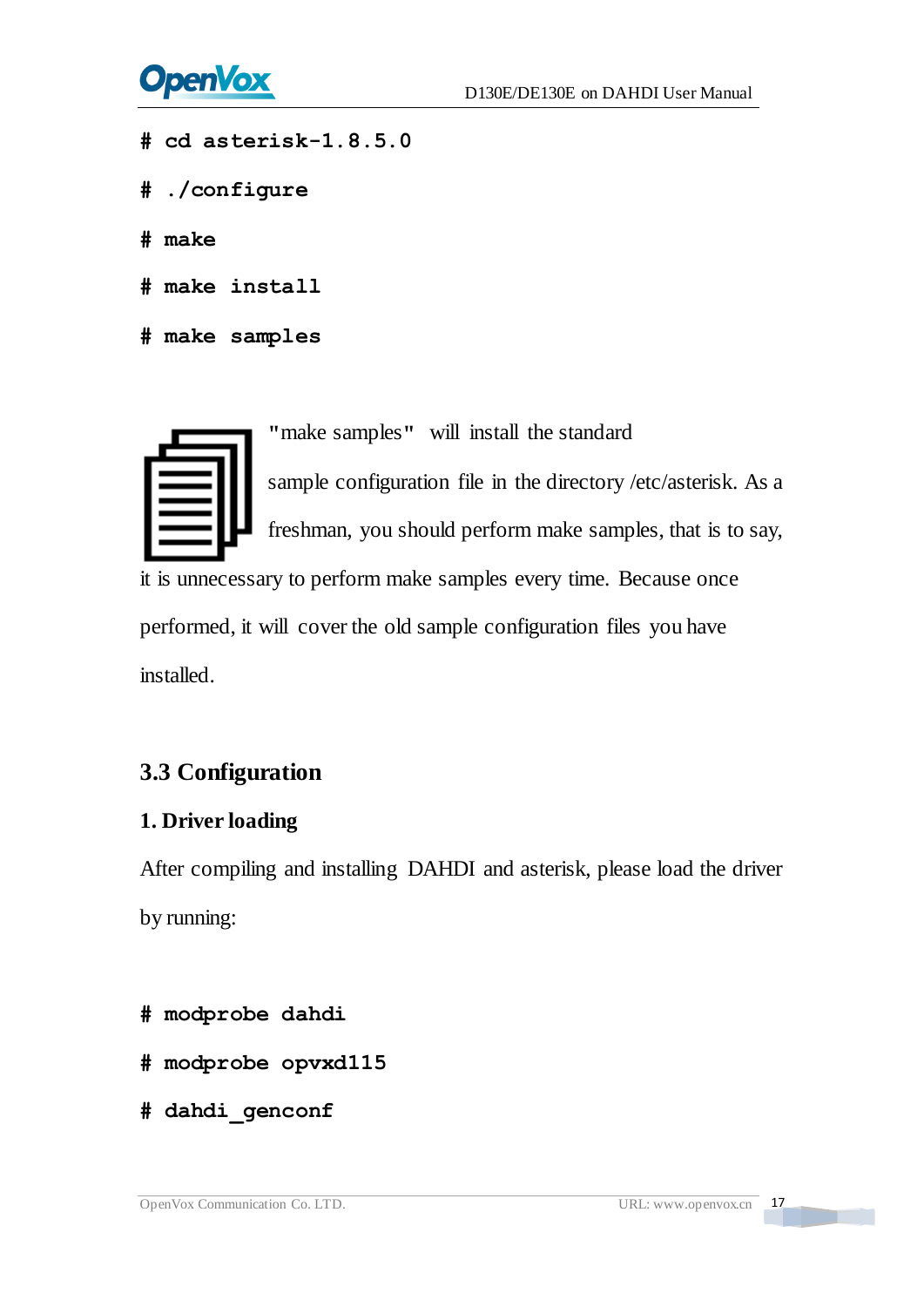

- **# cd asterisk-1.8.5.0**
- **# ./configure**
- **# make**
- **# make install**
- **# make samples**



**"**make samples**"** will install the standard

sample [configuration](http://www.voip-info.org/wiki/view/Asterisk+config+files) file in the directory /etc/asterisk. As a freshman, you should perform make samples, that is to say,

it is unnecessary to perform make samples every time. Because once performed, it will cover the old sample configuration files you have installed.

### <span id="page-17-0"></span>**3.3 Configuration**

#### **1. Driver loading**

After compiling and installing DAHDI and asterisk, please load the driver by running:

- **# modprobe dahdi**
- **# modprobe opvxd115**
- **# dahdi\_genconf**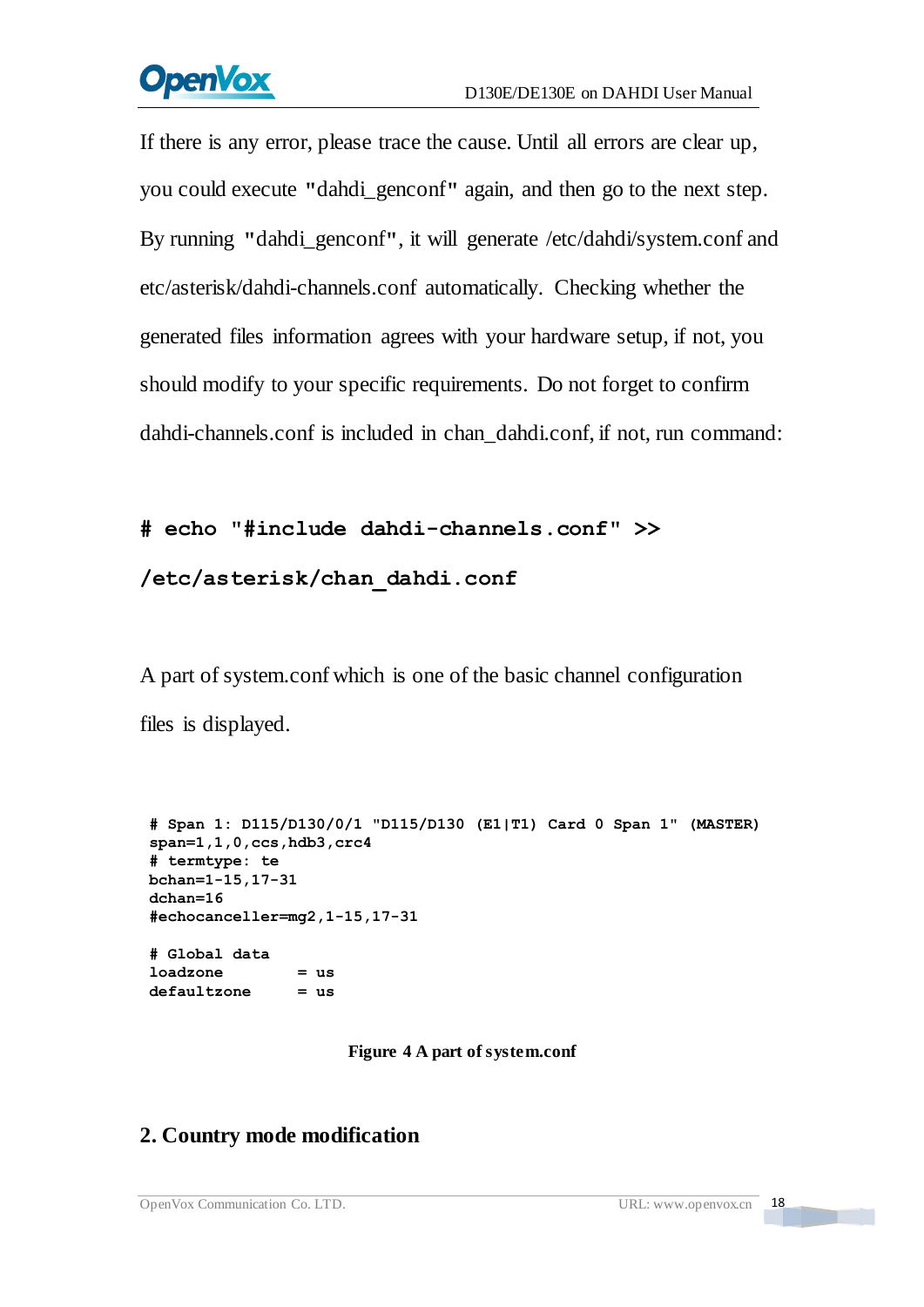# **OpenVox**

If there is any error, please trace the cause. Until all errors are clear up, you could execute **"**dahdi\_genconf**"** again, and then go to the next step. By running **"**dahdi\_genconf**"**, it will generate /etc/dahdi/system.conf and etc/asterisk/dahdi-channels.conf automatically. Checking whether the generated files information agrees with your hardware setup, if not, you should modify to your specific requirements. Do not forget to confirm dahdi-channels.conf is included in chan\_dahdi.conf, if not, run command:

#### **# echo "#include dahdi-channels.conf" >>**

#### **/etc/asterisk/chan\_dahdi.conf**

A part of system.conf which is one of the basic channel configuration files is displayed.

```
# Span 1: D115/D130/0/1 "D115/D130 (E1|T1) Card 0 Span 1" (MASTER) span=1,1,0,ccs,hdb3,crc4 # termtype: te bchan=1-15,17-31 dchan=16 #echocanceller=mg2,1-15,17-31 # Global data loadzone = us defaultzone = us
```
**Figure 4 A part of system.conf**

### **2. Country mode modification**

18

**TEXT**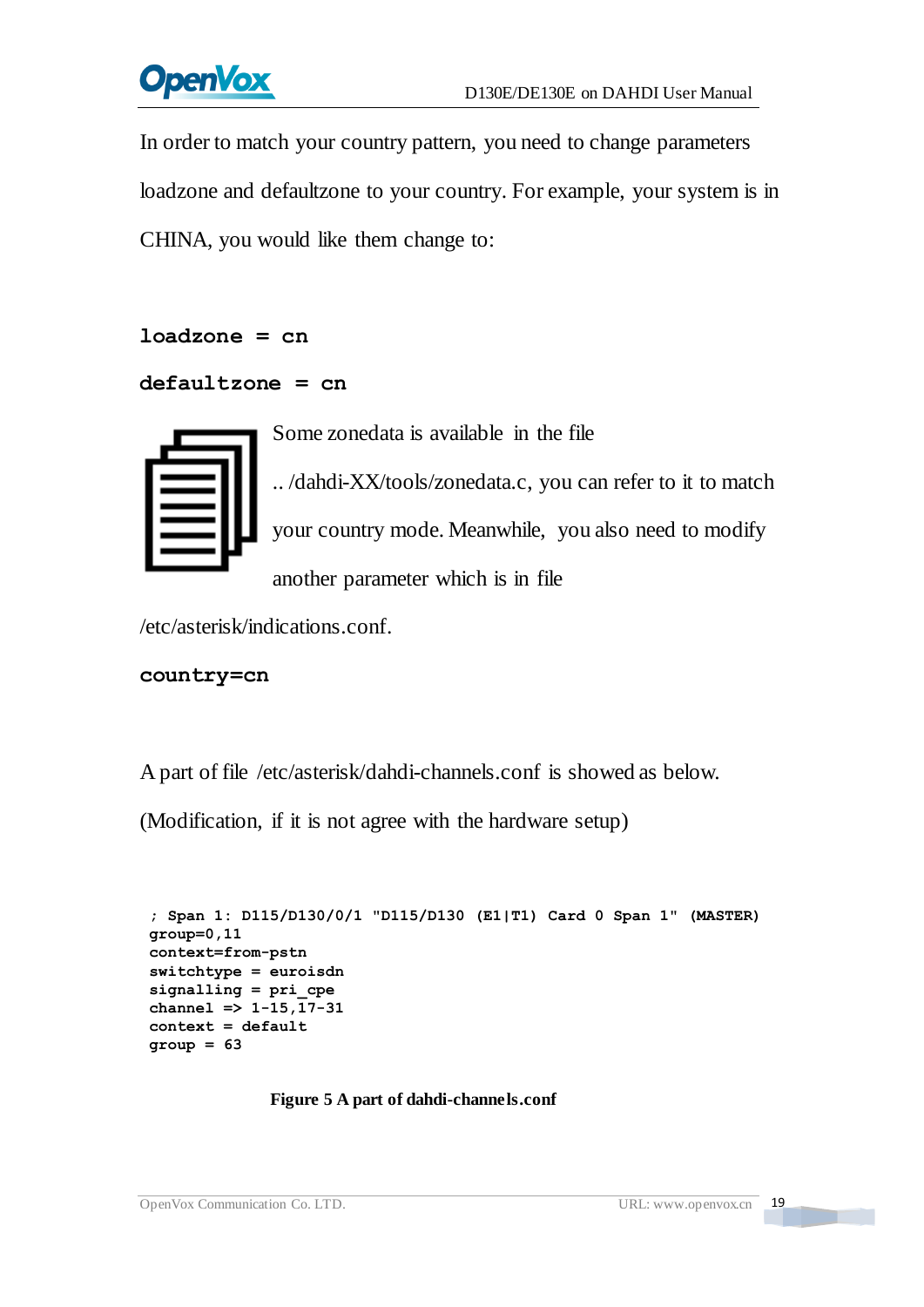

In order to match your country pattern, you need to change parameters loadzone and defaultzone to your country. For example, your system is in CHINA, you would like them change to:

```
loadzone = cn
```

```
defaultzone = cn
```

Some zonedata is available in the file

.. /dahdi-XX/tools/zonedata.c, you can refer to it to match your country mode. Meanwhile, you also need to modify another parameter which is in file

/etc/asterisk/indications.conf.

```
country=cn
```
A part of file /etc/asterisk/dahdi-channels.conf is showed as below.

(Modification, if it is not agree with the hardware setup)

```
; Span 1: D115/D130/0/1 "D115/D130 (E1|T1) Card 0 Span 1" (MASTER) group=0,11 context=from-pstn switchtype = euroisdn signalling = pri_cpe channel => 1-15,17-31 context = default group = 63
```
**Figure 5 A part of dahdi-channels.conf**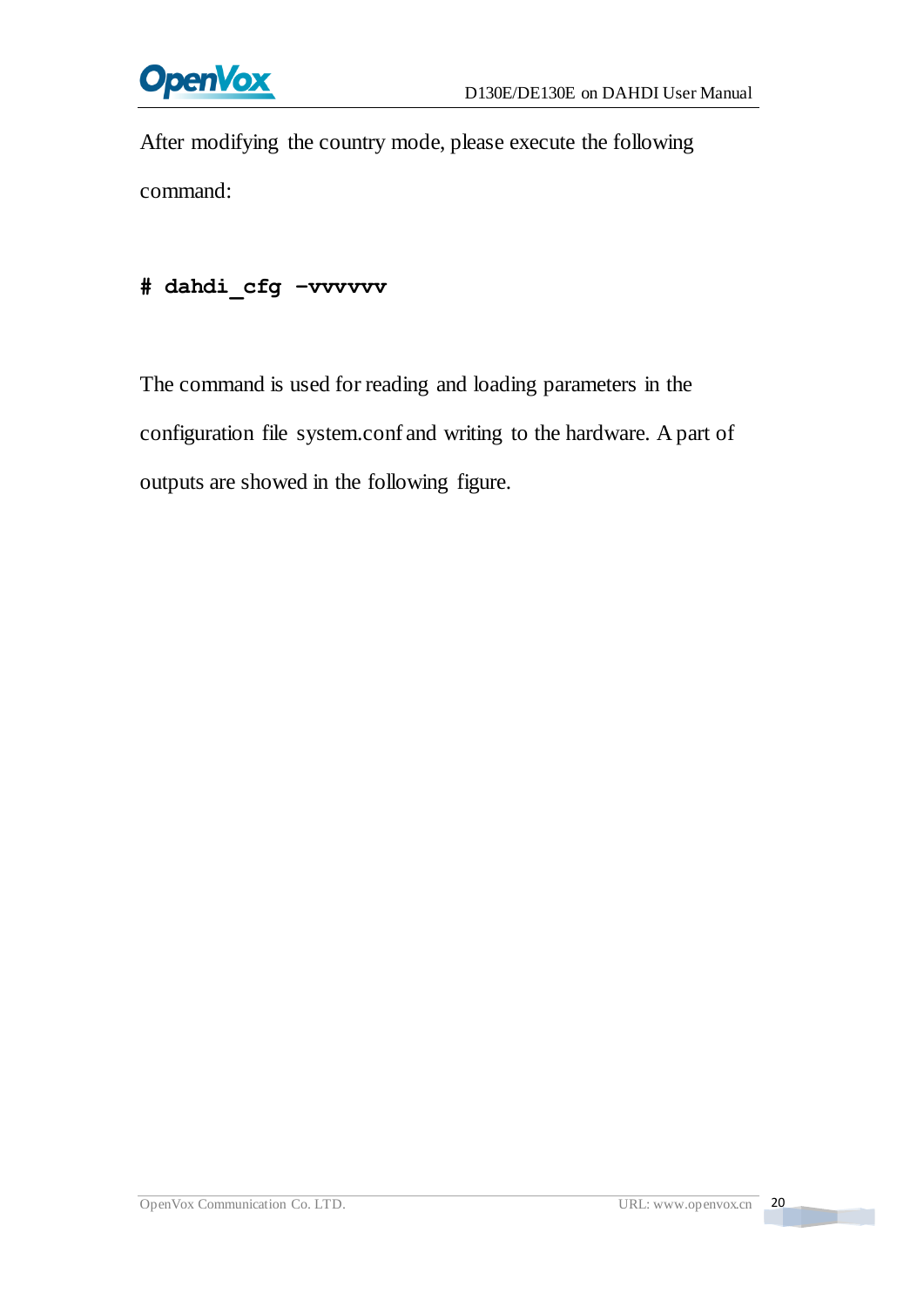

After modifying the country mode, please execute the following command:

#### **# dahdi\_cfg –vvvvvv**

The command is used for reading and loading parameters in the configuration file system.conf and writing to the hardware. A part of outputs are showed in the following figure.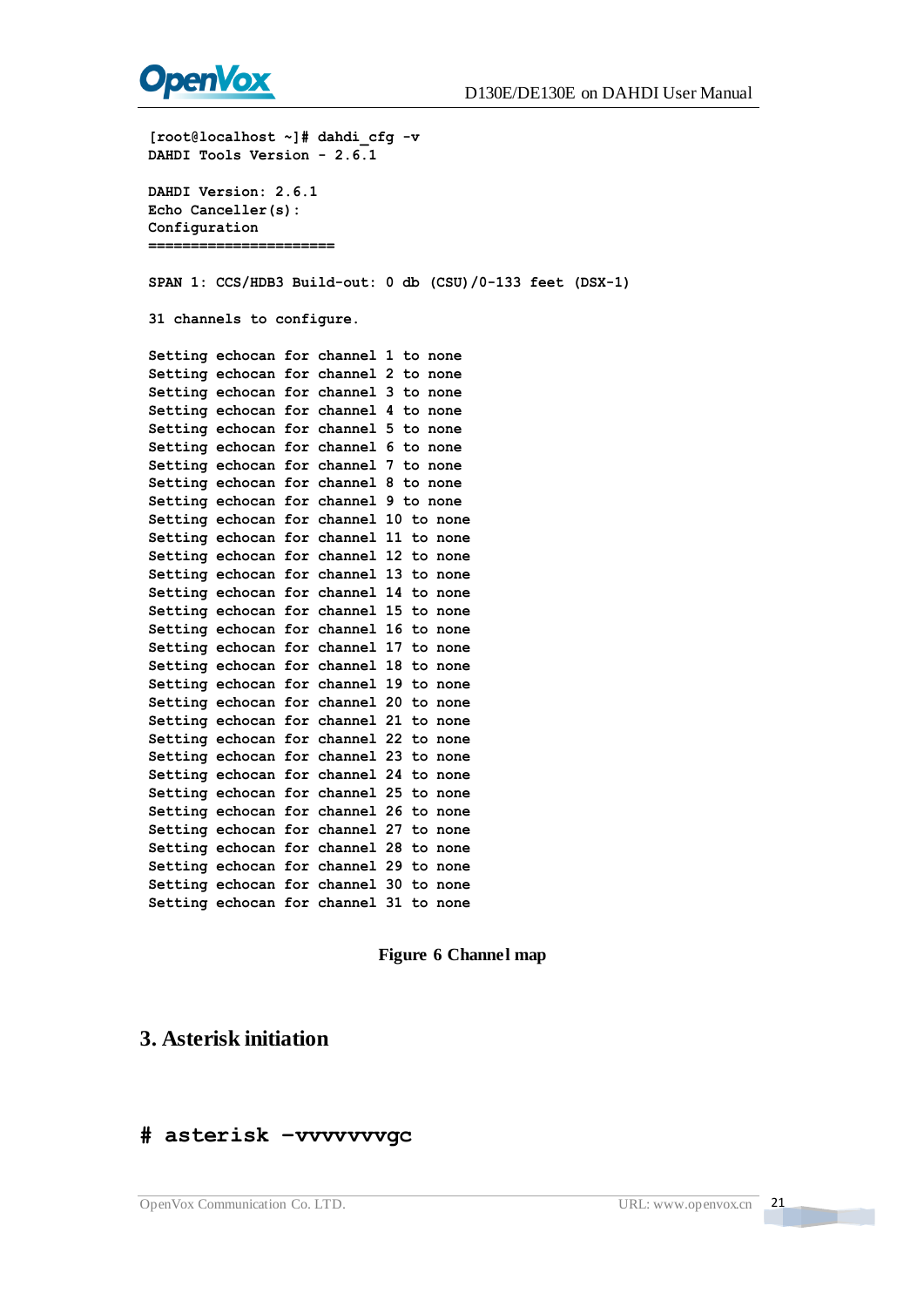

[root8lood.hoot] - j4 dahal cfg = v<br>
[root8lood.hoot] - 7.6.1<br>
DAMDI Tools Version - 2.6.1<br>
CROM Tools Version - 2.6.1<br>
CROM Canceller (8):<br>
CROM Canceller (8):<br>
CROM 2011<br>
2011 - CRO/IDB3 Build-out: 0 db (C8U)/0-133 feet

#### **3. Asterisk initiation**

#### **# asterisk –vvvvvvvgc**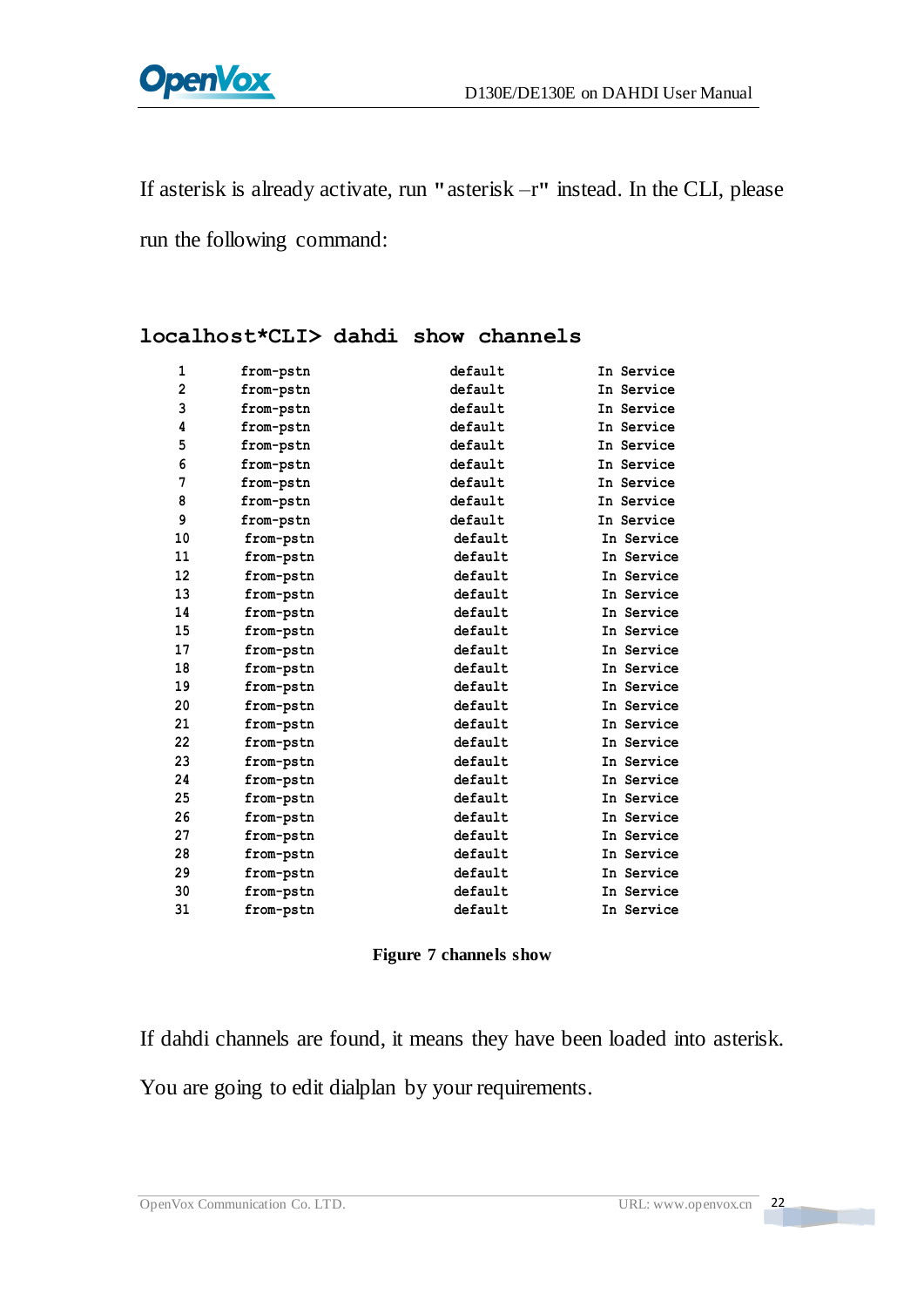If asterisk is already activate, run **"**asterisk –r**"** instead. In the CLI, please

run the following command:

| 1              | from-pstn | default | In Service |
|----------------|-----------|---------|------------|
| $\overline{2}$ | from-pstn | default | In Service |
| 3              | from-pstn | default | In Service |
| 4              | from-pstn | default | In Service |
| 5              | from-pstn | default | In Service |
| 6              | from-pstn | default | In Service |
| 7              | from-pstn | default | In Service |
| 8              | from-pstn | default | In Service |
| 9              | from-pstn | default | In Service |
| 10             | from-pstn | default | In Service |
| 11             | from-pstn | default | In Service |
| 12             | from-pstn | default | In Service |
| 13             | from-pstn | default | In Service |
| 14             | from-pstn | default | In Service |
| 15             | from-pstn | default | In Service |
| 17             | from-pstn | default | In Service |
| 18             | from-pstn | default | In Service |
| 19             | from-pstn | default | In Service |
| 20             | from-pstn | default | In Service |
| 21             | from-pstn | default | In Service |
| 22             | from-pstn | default | In Service |
| 23             | from-pstn | default | In Service |
| 24             | from-pstn | default | In Service |
| 25             | from-pstn | default | In Service |
| 26             | from-pstn | default | In Service |
| 27             | from-pstn | default | In Service |
| 28             | from-pstn | default | In Service |
| 29             | from-pstn | default | In Service |
| 30             | from-pstn | default | In Service |
| 31             | from-pstn | default | In Service |

#### **localhost\*CLI> dahdi show channels**

#### **Figure 7 channels show**

If dahdi channels are found, it means they have been loaded into asterisk. You are going to edit dialplan by your requirements.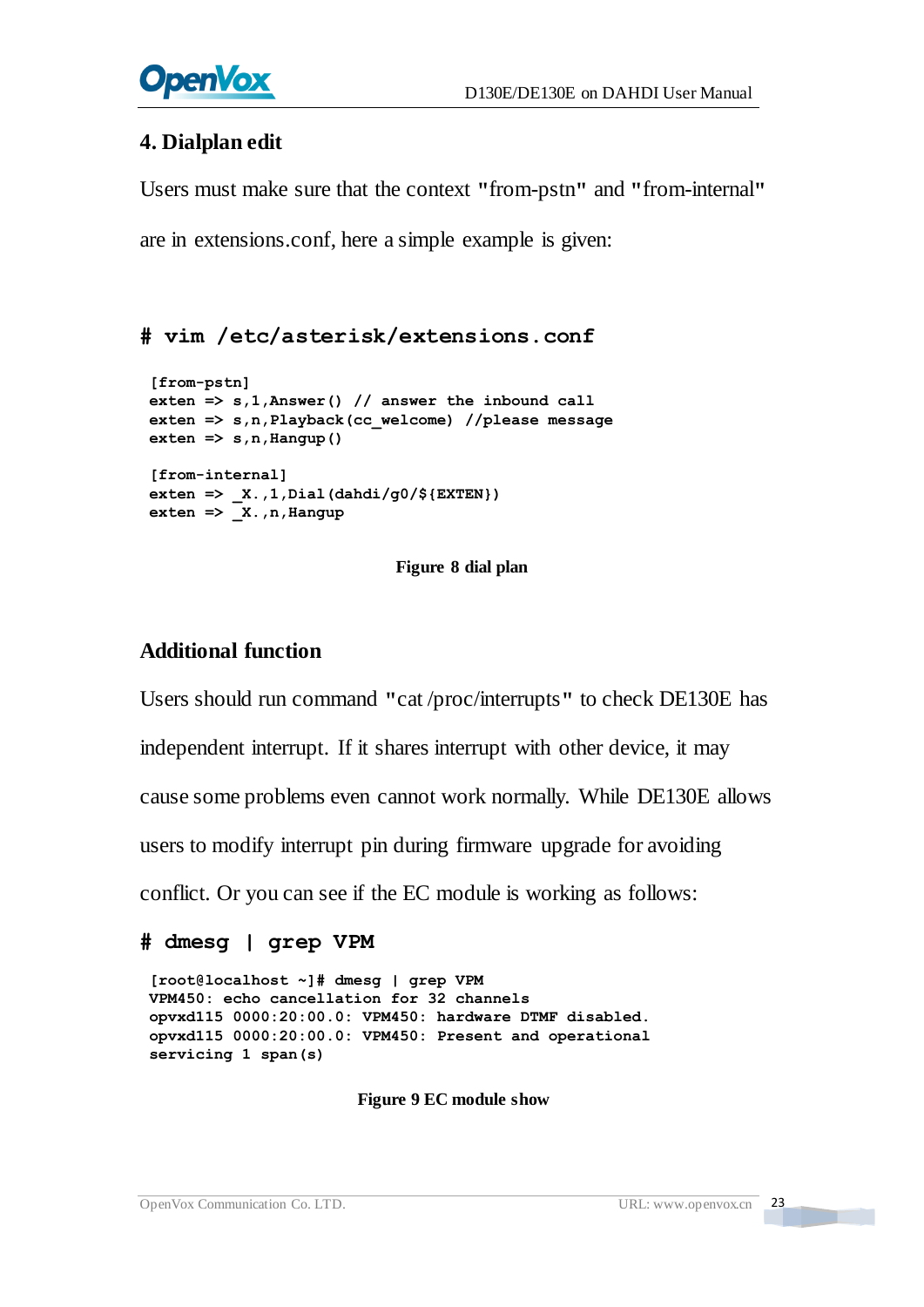#### **4. Dialplan edit**

Users must make sure that the context **"**from-pstn**"** and **"**from-internal**"**

are in extensions.conf, here a simple example is given:

#### **# vim /etc/asterisk/extensions.conf**

```
[from-pstn] exten => s,1,Answer() // answer the inbound call exten => s,n,Playback(cc_welcome) //please message ext{er} \Rightarrow \textrm{s}, \textrm{n}, \texttt{Hangup} ()
[from-internal] exten => _X.,1,Dial(dahdi/g0/${EXTEN}) \overline{\text{exten}} = \sum_{x, n, \text{Hangup}}
```
#### **Figure 8 dial plan**

#### **Additional function**

Users should run command **"**cat /proc/interrupts**"** to check DE130E has independent interrupt. If it shares interrupt with other device, it may cause some problems even cannot work normally. While DE130E allows users to modify interrupt pin during firmware upgrade for avoiding conflict. Or you can see if the EC module is working as follows:

```
# dmesg | grep VPM
```
**[root@localhost ~]# dmesg | grep VPM VPM450: echo cancellation for 32 channels opvxd115 0000:20:00.0: VPM450: hardware DTMF disabled. opvxd115 0000:20:00.0: VPM450: Present and operational servicing 1 span(s)**

**Figure 9 EC module show**

**The Contract**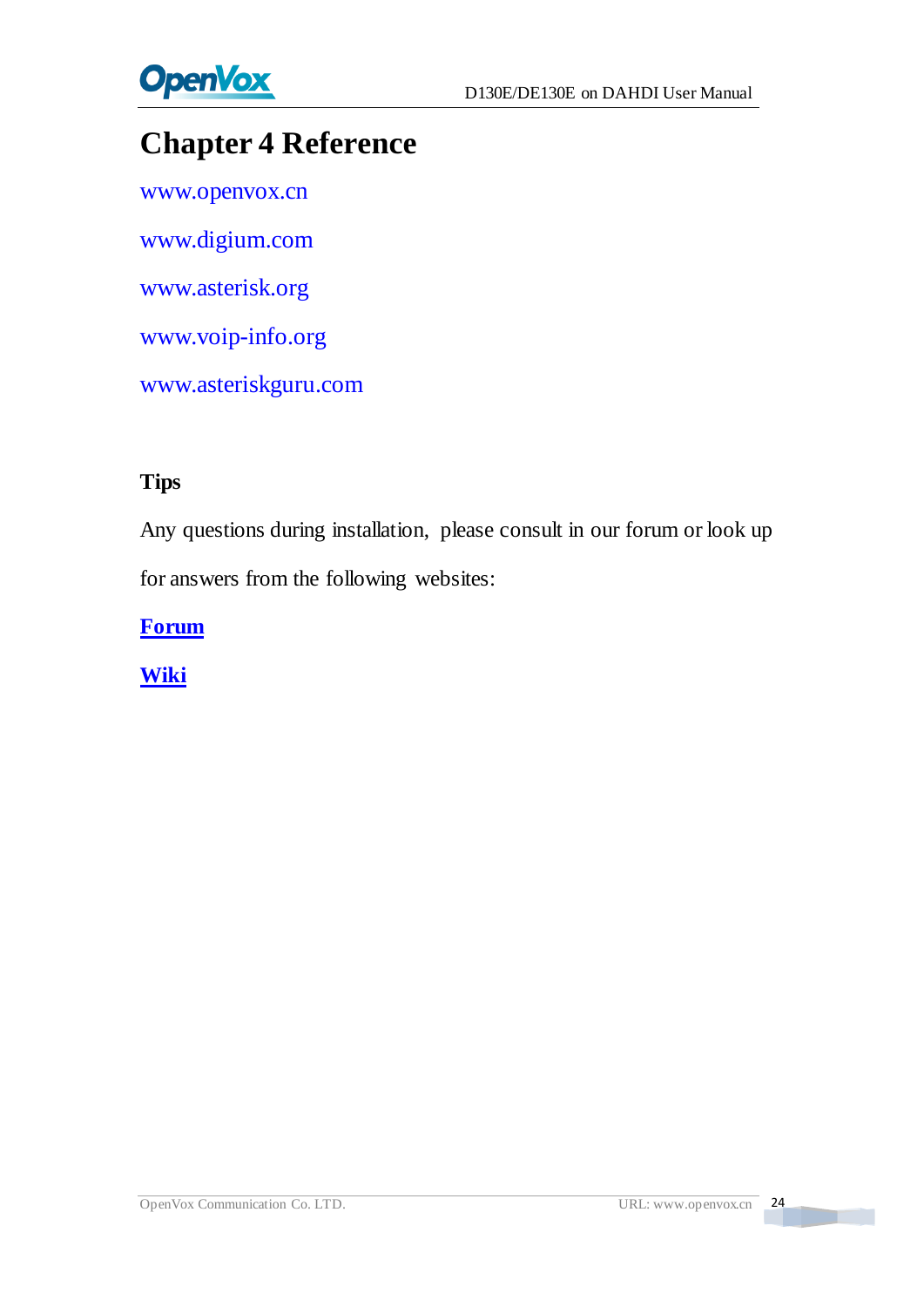

# <span id="page-24-0"></span>**Chapter 4 Reference**

[www.openvox.cn](http://www.openvox.cn/) [www.digium.com](http://www.digium.com/) [www.asterisk.org](http://www.asterisk.org/) [www.voip-info.org](http://www.voip-info.org/) [www.asteriskguru.com](http://www.asteriskguru.com/)

#### **Tips**

Any questions during installation, please consult in our forum or look up for answers from the following websites:

**[Forum](http://bbs.openvox.cn/)**

**[Wiki](http://wiki.openvox.cn/index.php/%E9%A6%96%E9%A1%B5)**